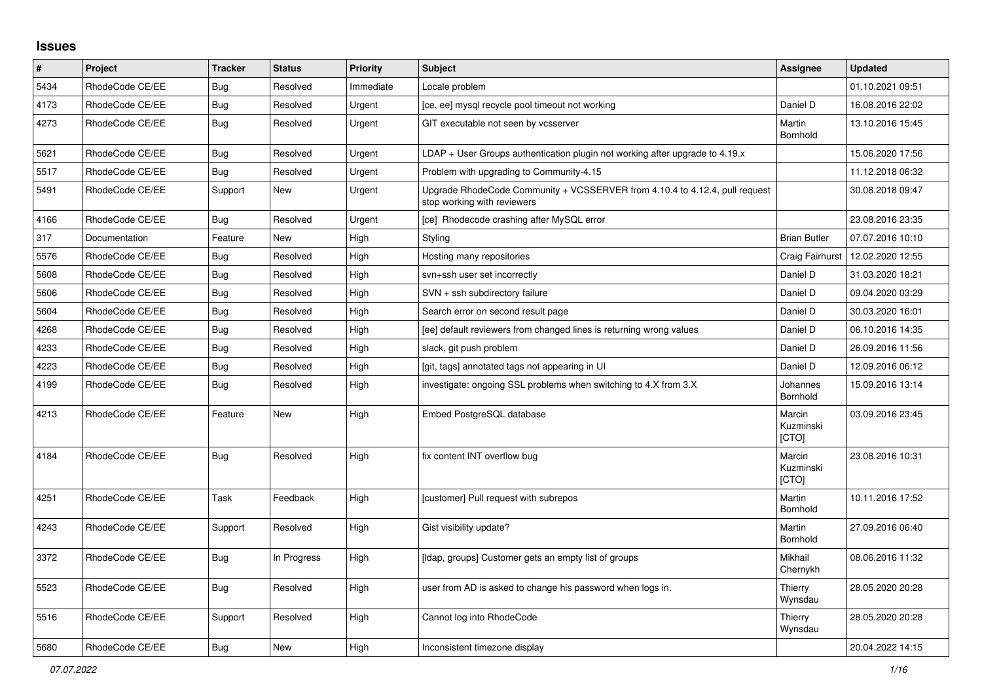## **Issues**

| #    | Project         | <b>Tracker</b> | <b>Status</b> | <b>Priority</b> | <b>Subject</b>                                                                                             | Assignee                     | <b>Updated</b>   |
|------|-----------------|----------------|---------------|-----------------|------------------------------------------------------------------------------------------------------------|------------------------------|------------------|
| 5434 | RhodeCode CE/EE | Bug            | Resolved      | Immediate       | Locale problem                                                                                             |                              | 01.10.2021 09:51 |
| 4173 | RhodeCode CE/EE | Bug            | Resolved      | Urgent          | [ce, ee] mysql recycle pool timeout not working                                                            | Daniel D                     | 16.08.2016 22:02 |
| 4273 | RhodeCode CE/EE | Bug            | Resolved      | Urgent          | GIT executable not seen by vcsserver                                                                       | Martin<br>Bornhold           | 13.10.2016 15:45 |
| 5621 | RhodeCode CE/EE | <b>Bug</b>     | Resolved      | Urgent          | $LDAP + User Groups$ authentication plugin not working after upgrade to 4.19. $x$                          |                              | 15.06.2020 17:56 |
| 5517 | RhodeCode CE/EE | Bug            | Resolved      | Urgent          | Problem with upgrading to Community-4.15                                                                   |                              | 11.12.2018 06:32 |
| 5491 | RhodeCode CE/EE | Support        | <b>New</b>    | Urgent          | Upgrade RhodeCode Community + VCSSERVER from 4.10.4 to 4.12.4, pull request<br>stop working with reviewers |                              | 30.08.2018 09:47 |
| 4166 | RhodeCode CE/EE | Bug            | Resolved      | Urgent          | [ce] Rhodecode crashing after MySQL error                                                                  |                              | 23.08.2016 23:35 |
| 317  | Documentation   | Feature        | <b>New</b>    | High            | Styling                                                                                                    | <b>Brian Butler</b>          | 07.07.2016 10:10 |
| 5576 | RhodeCode CE/EE | <b>Bug</b>     | Resolved      | High            | Hosting many repositories                                                                                  | Craig Fairhurst              | 12.02.2020 12:55 |
| 5608 | RhodeCode CE/EE | Bug            | Resolved      | High            | svn+ssh user set incorrectly                                                                               | Daniel D                     | 31.03.2020 18:21 |
| 5606 | RhodeCode CE/EE | <b>Bug</b>     | Resolved      | High            | SVN + ssh subdirectory failure                                                                             | Daniel D                     | 09.04.2020 03:29 |
| 5604 | RhodeCode CE/EE | Bug            | Resolved      | High            | Search error on second result page                                                                         | Daniel D                     | 30.03.2020 16:01 |
| 4268 | RhodeCode CE/EE | Bug            | Resolved      | High            | [ee] default reviewers from changed lines is returning wrong values                                        | Daniel D                     | 06.10.2016 14:35 |
| 4233 | RhodeCode CE/EE | Bug            | Resolved      | High            | slack, git push problem                                                                                    | Daniel D                     | 26.09.2016 11:56 |
| 4223 | RhodeCode CE/EE | Bug            | Resolved      | High            | [git, tags] annotated tags not appearing in UI                                                             | Daniel D                     | 12.09.2016 06:12 |
| 4199 | RhodeCode CE/EE | Bug            | Resolved      | High            | investigate: ongoing SSL problems when switching to 4.X from 3.X                                           | Johannes<br>Bornhold         | 15.09.2016 13:14 |
| 4213 | RhodeCode CE/EE | Feature        | <b>New</b>    | High            | Embed PostgreSQL database                                                                                  | Marcin<br>Kuzminski<br>[CTO] | 03.09.2016 23:45 |
| 4184 | RhodeCode CE/EE | Bug            | Resolved      | High            | fix content INT overflow bug                                                                               | Marcin<br>Kuzminski<br>[CTO] | 23.08.2016 10:31 |
| 4251 | RhodeCode CE/EE | Task           | Feedback      | High            | [customer] Pull request with subrepos                                                                      | Martin<br>Bornhold           | 10.11.2016 17:52 |
| 4243 | RhodeCode CE/EE | Support        | Resolved      | High            | Gist visibility update?                                                                                    | Martin<br>Bornhold           | 27.09.2016 06:40 |
| 3372 | RhodeCode CE/EE | <b>Bug</b>     | In Progress   | High            | [Idap, groups] Customer gets an empty list of groups                                                       | Mikhail<br>Chernykh          | 08.06.2016 11:32 |
| 5523 | RhodeCode CE/EE | <b>Bug</b>     | Resolved      | High            | user from AD is asked to change his password when logs in.                                                 | Thierry<br>Wynsdau           | 28.05.2020 20:28 |
| 5516 | RhodeCode CE/EE | Support        | Resolved      | High            | Cannot log into RhodeCode                                                                                  | Thierry<br>Wynsdau           | 28.05.2020 20:28 |
| 5680 | RhodeCode CE/EE | Bug            | <b>New</b>    | High            | Inconsistent timezone display                                                                              |                              | 20.04.2022 14:15 |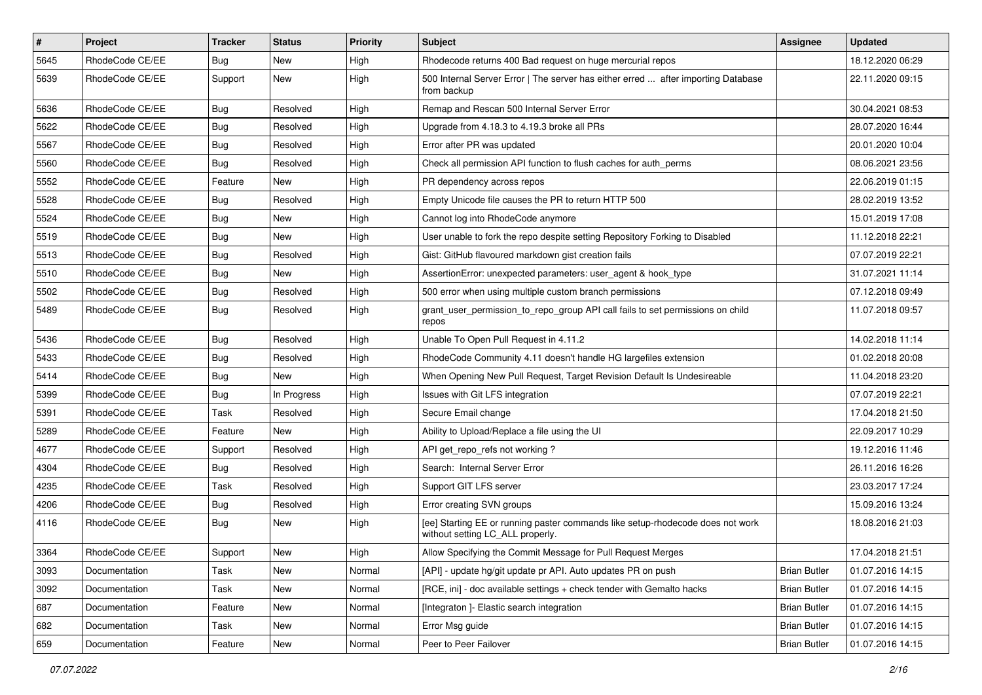| $\pmb{\#}$ | Project         | <b>Tracker</b> | <b>Status</b> | <b>Priority</b> | <b>Subject</b>                                                                                                     | Assignee            | <b>Updated</b>   |
|------------|-----------------|----------------|---------------|-----------------|--------------------------------------------------------------------------------------------------------------------|---------------------|------------------|
| 5645       | RhodeCode CE/EE | Bug            | New           | High            | Rhodecode returns 400 Bad request on huge mercurial repos                                                          |                     | 18.12.2020 06:29 |
| 5639       | RhodeCode CE/EE | Support        | <b>New</b>    | High            | 500 Internal Server Error   The server has either erred  after importing Database<br>from backup                   |                     | 22.11.2020 09:15 |
| 5636       | RhodeCode CE/EE | Bug            | Resolved      | High            | Remap and Rescan 500 Internal Server Error                                                                         |                     | 30.04.2021 08:53 |
| 5622       | RhodeCode CE/EE | Bug            | Resolved      | High            | Upgrade from 4.18.3 to 4.19.3 broke all PRs                                                                        |                     | 28.07.2020 16:44 |
| 5567       | RhodeCode CE/EE | Bug            | Resolved      | High            | Error after PR was updated                                                                                         |                     | 20.01.2020 10:04 |
| 5560       | RhodeCode CE/EE | Bug            | Resolved      | High            | Check all permission API function to flush caches for auth perms                                                   |                     | 08.06.2021 23:56 |
| 5552       | RhodeCode CE/EE | Feature        | New           | High            | PR dependency across repos                                                                                         |                     | 22.06.2019 01:15 |
| 5528       | RhodeCode CE/EE | Bug            | Resolved      | High            | Empty Unicode file causes the PR to return HTTP 500                                                                |                     | 28.02.2019 13:52 |
| 5524       | RhodeCode CE/EE | Bug            | <b>New</b>    | High            | Cannot log into RhodeCode anymore                                                                                  |                     | 15.01.2019 17:08 |
| 5519       | RhodeCode CE/EE | Bug            | <b>New</b>    | High            | User unable to fork the repo despite setting Repository Forking to Disabled                                        |                     | 11.12.2018 22:21 |
| 5513       | RhodeCode CE/EE | Bug            | Resolved      | High            | Gist: GitHub flavoured markdown gist creation fails                                                                |                     | 07.07.2019 22:21 |
| 5510       | RhodeCode CE/EE | Bug            | New           | High            | AssertionError: unexpected parameters: user_agent & hook_type                                                      |                     | 31.07.2021 11:14 |
| 5502       | RhodeCode CE/EE | Bug            | Resolved      | High            | 500 error when using multiple custom branch permissions                                                            |                     | 07.12.2018 09:49 |
| 5489       | RhodeCode CE/EE | Bug            | Resolved      | High            | grant_user_permission_to_repo_group API call fails to set permissions on child<br>repos                            |                     | 11.07.2018 09:57 |
| 5436       | RhodeCode CE/EE | Bug            | Resolved      | High            | Unable To Open Pull Request in 4.11.2                                                                              |                     | 14.02.2018 11:14 |
| 5433       | RhodeCode CE/EE | Bug            | Resolved      | High            | RhodeCode Community 4.11 doesn't handle HG largefiles extension                                                    |                     | 01.02.2018 20:08 |
| 5414       | RhodeCode CE/EE | Bug            | New           | High            | When Opening New Pull Request, Target Revision Default Is Undesireable                                             |                     | 11.04.2018 23:20 |
| 5399       | RhodeCode CE/EE | <b>Bug</b>     | In Progress   | High            | Issues with Git LFS integration                                                                                    |                     | 07.07.2019 22:21 |
| 5391       | RhodeCode CE/EE | Task           | Resolved      | High            | Secure Email change                                                                                                |                     | 17.04.2018 21:50 |
| 5289       | RhodeCode CE/EE | Feature        | <b>New</b>    | High            | Ability to Upload/Replace a file using the UI                                                                      |                     | 22.09.2017 10:29 |
| 4677       | RhodeCode CE/EE | Support        | Resolved      | High            | API get_repo_refs not working?                                                                                     |                     | 19.12.2016 11:46 |
| 4304       | RhodeCode CE/EE | Bug            | Resolved      | High            | Search: Internal Server Error                                                                                      |                     | 26.11.2016 16:26 |
| 4235       | RhodeCode CE/EE | Task           | Resolved      | High            | Support GIT LFS server                                                                                             |                     | 23.03.2017 17:24 |
| 4206       | RhodeCode CE/EE | Bug            | Resolved      | High            | Error creating SVN groups                                                                                          |                     | 15.09.2016 13:24 |
| 4116       | RhodeCode CE/EE | Bug            | New           | High            | [ee] Starting EE or running paster commands like setup-rhodecode does not work<br>without setting LC_ALL properly. |                     | 18.08.2016 21:03 |
| 3364       | RhodeCode CE/EE | Support        | New           | High            | Allow Specifying the Commit Message for Pull Request Merges                                                        |                     | 17.04.2018 21:51 |
| 3093       | Documentation   | Task           | New           | Normal          | [API] - update hg/git update pr API. Auto updates PR on push                                                       | <b>Brian Butler</b> | 01.07.2016 14:15 |
| 3092       | Documentation   | Task           | New           | Normal          | [RCE, ini] - doc available settings + check tender with Gemalto hacks                                              | <b>Brian Butler</b> | 01.07.2016 14:15 |
| 687        | Documentation   | Feature        | New           | Normal          | [Integraton] - Elastic search integration                                                                          | <b>Brian Butler</b> | 01.07.2016 14:15 |
| 682        | Documentation   | Task           | New           | Normal          | Error Msg guide                                                                                                    | <b>Brian Butler</b> | 01.07.2016 14:15 |
| 659        | Documentation   | Feature        | New           | Normal          | Peer to Peer Failover                                                                                              | <b>Brian Butler</b> | 01.07.2016 14:15 |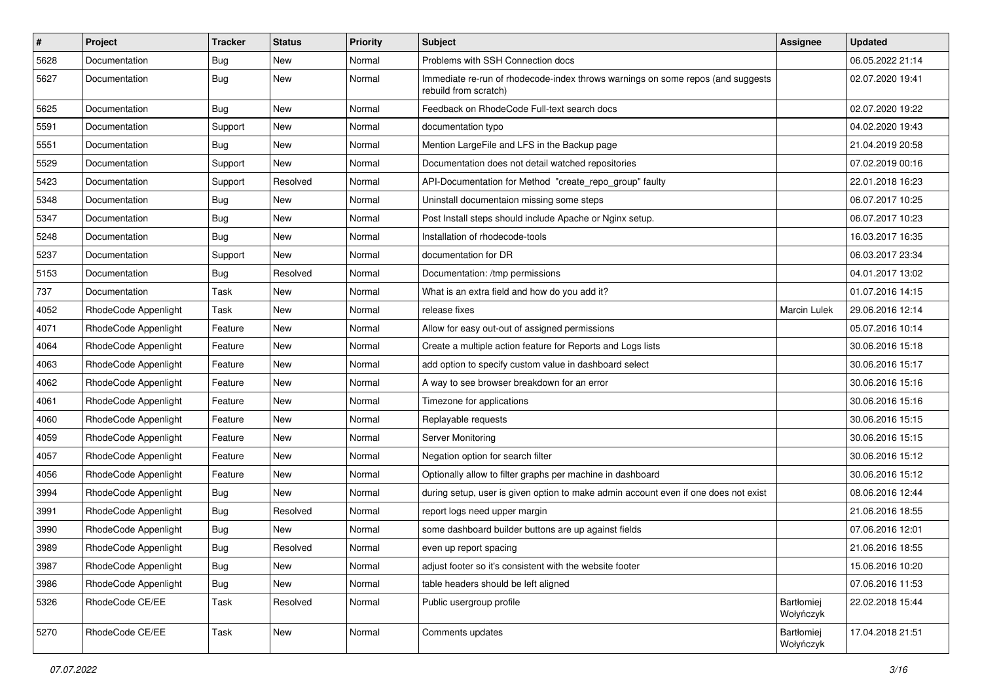| $\vert$ # | Project              | <b>Tracker</b> | <b>Status</b> | Priority | <b>Subject</b>                                                                                           | <b>Assignee</b>         | <b>Updated</b>   |
|-----------|----------------------|----------------|---------------|----------|----------------------------------------------------------------------------------------------------------|-------------------------|------------------|
| 5628      | Documentation        | <b>Bug</b>     | New           | Normal   | Problems with SSH Connection docs                                                                        |                         | 06.05.2022 21:14 |
| 5627      | Documentation        | <b>Bug</b>     | New           | Normal   | Immediate re-run of rhodecode-index throws warnings on some repos (and suggests<br>rebuild from scratch) |                         | 02.07.2020 19:41 |
| 5625      | Documentation        | <b>Bug</b>     | New           | Normal   | Feedback on RhodeCode Full-text search docs                                                              |                         | 02.07.2020 19:22 |
| 5591      | Documentation        | Support        | New           | Normal   | documentation typo                                                                                       |                         | 04.02.2020 19:43 |
| 5551      | Documentation        | Bug            | New           | Normal   | Mention LargeFile and LFS in the Backup page                                                             |                         | 21.04.2019 20:58 |
| 5529      | Documentation        | Support        | New           | Normal   | Documentation does not detail watched repositories                                                       |                         | 07.02.2019 00:16 |
| 5423      | Documentation        | Support        | Resolved      | Normal   | API-Documentation for Method "create_repo_group" faulty                                                  |                         | 22.01.2018 16:23 |
| 5348      | Documentation        | <b>Bug</b>     | New           | Normal   | Uninstall documentaion missing some steps                                                                |                         | 06.07.2017 10:25 |
| 5347      | Documentation        | <b>Bug</b>     | <b>New</b>    | Normal   | Post Install steps should include Apache or Nginx setup.                                                 |                         | 06.07.2017 10:23 |
| 5248      | Documentation        | Bug            | New           | Normal   | Installation of rhodecode-tools                                                                          |                         | 16.03.2017 16:35 |
| 5237      | Documentation        | Support        | New           | Normal   | documentation for DR                                                                                     |                         | 06.03.2017 23:34 |
| 5153      | Documentation        | Bug            | Resolved      | Normal   | Documentation: /tmp permissions                                                                          |                         | 04.01.2017 13:02 |
| 737       | Documentation        | Task           | New           | Normal   | What is an extra field and how do you add it?                                                            |                         | 01.07.2016 14:15 |
| 4052      | RhodeCode Appenlight | Task           | New           | Normal   | release fixes                                                                                            | <b>Marcin Lulek</b>     | 29.06.2016 12:14 |
| 4071      | RhodeCode Appenlight | Feature        | New           | Normal   | Allow for easy out-out of assigned permissions                                                           |                         | 05.07.2016 10:14 |
| 4064      | RhodeCode Appenlight | Feature        | New           | Normal   | Create a multiple action feature for Reports and Logs lists                                              |                         | 30.06.2016 15:18 |
| 4063      | RhodeCode Appenlight | Feature        | New           | Normal   | add option to specify custom value in dashboard select                                                   |                         | 30.06.2016 15:17 |
| 4062      | RhodeCode Appenlight | Feature        | New           | Normal   | A way to see browser breakdown for an error                                                              |                         | 30.06.2016 15:16 |
| 4061      | RhodeCode Appenlight | Feature        | New           | Normal   | Timezone for applications                                                                                |                         | 30.06.2016 15:16 |
| 4060      | RhodeCode Appenlight | Feature        | New           | Normal   | Replayable requests                                                                                      |                         | 30.06.2016 15:15 |
| 4059      | RhodeCode Appenlight | Feature        | New           | Normal   | Server Monitoring                                                                                        |                         | 30.06.2016 15:15 |
| 4057      | RhodeCode Appenlight | Feature        | New           | Normal   | Negation option for search filter                                                                        |                         | 30.06.2016 15:12 |
| 4056      | RhodeCode Appenlight | Feature        | New           | Normal   | Optionally allow to filter graphs per machine in dashboard                                               |                         | 30.06.2016 15:12 |
| 3994      | RhodeCode Appenlight | Bug            | New           | Normal   | during setup, user is given option to make admin account even if one does not exist                      |                         | 08.06.2016 12:44 |
| 3991      | RhodeCode Appenlight | Bug            | Resolved      | Normal   | report logs need upper margin                                                                            |                         | 21.06.2016 18:55 |
| 3990      | RhodeCode Appenlight | <b>Bug</b>     | New           | Normal   | some dashboard builder buttons are up against fields                                                     |                         | 07.06.2016 12:01 |
| 3989      | RhodeCode Appenlight | <b>Bug</b>     | Resolved      | Normal   | even up report spacing                                                                                   |                         | 21.06.2016 18:55 |
| 3987      | RhodeCode Appenlight | <b>Bug</b>     | New           | Normal   | adjust footer so it's consistent with the website footer                                                 |                         | 15.06.2016 10:20 |
| 3986      | RhodeCode Appenlight | <b>Bug</b>     | New           | Normal   | table headers should be left aligned                                                                     |                         | 07.06.2016 11:53 |
| 5326      | RhodeCode CE/EE      | Task           | Resolved      | Normal   | Public usergroup profile                                                                                 | Bartłomiej<br>Wołyńczyk | 22.02.2018 15:44 |
| 5270      | RhodeCode CE/EE      | Task           | New           | Normal   | Comments updates                                                                                         | Bartłomiej<br>Wołyńczyk | 17.04.2018 21:51 |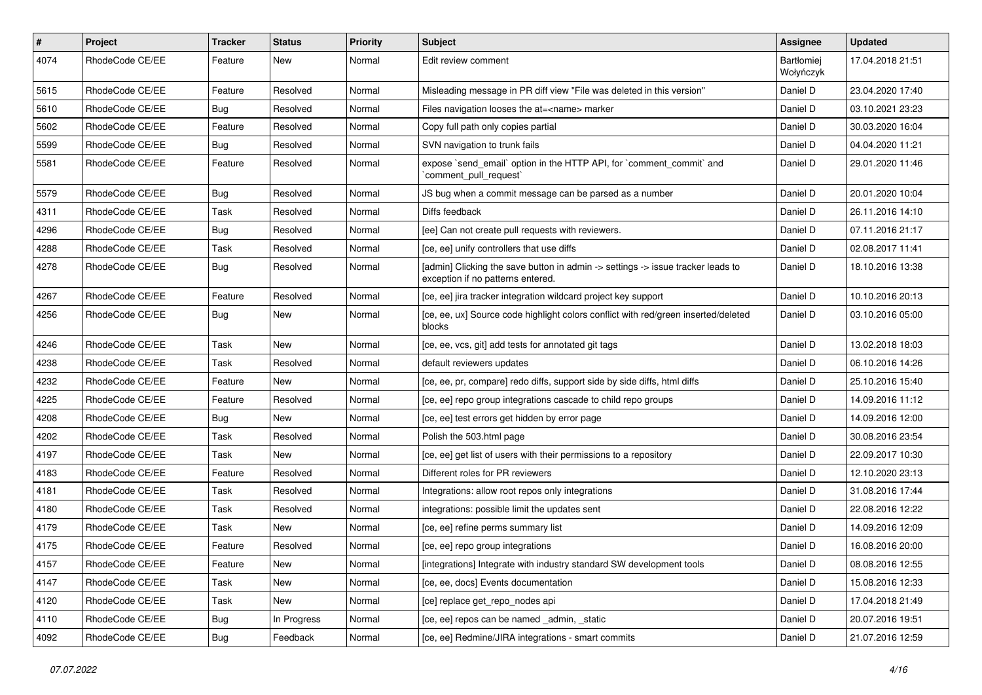| $\pmb{\#}$ | Project         | Tracker    | <b>Status</b> | <b>Priority</b> | <b>Subject</b>                                                                                                       | Assignee                       | <b>Updated</b>   |
|------------|-----------------|------------|---------------|-----------------|----------------------------------------------------------------------------------------------------------------------|--------------------------------|------------------|
| 4074       | RhodeCode CE/EE | Feature    | New           | Normal          | Edit review comment                                                                                                  | <b>Bartłomiej</b><br>Wołyńczyk | 17.04.2018 21:51 |
| 5615       | RhodeCode CE/EE | Feature    | Resolved      | Normal          | Misleading message in PR diff view "File was deleted in this version"                                                | Daniel D                       | 23.04.2020 17:40 |
| 5610       | RhodeCode CE/EE | Bug        | Resolved      | Normal          | Files navigation looses the at= <name> marker</name>                                                                 | Daniel D                       | 03.10.2021 23:23 |
| 5602       | RhodeCode CE/EE | Feature    | Resolved      | Normal          | Copy full path only copies partial                                                                                   | Daniel D                       | 30.03.2020 16:04 |
| 5599       | RhodeCode CE/EE | <b>Bug</b> | Resolved      | Normal          | SVN navigation to trunk fails                                                                                        | Daniel D                       | 04.04.2020 11:21 |
| 5581       | RhodeCode CE/EE | Feature    | Resolved      | Normal          | expose `send_email` option in the HTTP API, for `comment_commit` and<br>`comment_pull_request`                       | Daniel D                       | 29.01.2020 11:46 |
| 5579       | RhodeCode CE/EE | Bug        | Resolved      | Normal          | JS bug when a commit message can be parsed as a number                                                               | Daniel D                       | 20.01.2020 10:04 |
| 4311       | RhodeCode CE/EE | Task       | Resolved      | Normal          | Diffs feedback                                                                                                       | Daniel D                       | 26.11.2016 14:10 |
| 4296       | RhodeCode CE/EE | <b>Bug</b> | Resolved      | Normal          | [ee] Can not create pull requests with reviewers.                                                                    | Daniel D                       | 07.11.2016 21:17 |
| 4288       | RhodeCode CE/EE | Task       | Resolved      | Normal          | [ce, ee] unify controllers that use diffs                                                                            | Daniel D                       | 02.08.2017 11:41 |
| 4278       | RhodeCode CE/EE | Bug        | Resolved      | Normal          | [admin] Clicking the save button in admin -> settings -> issue tracker leads to<br>exception if no patterns entered. | Daniel D                       | 18.10.2016 13:38 |
| 4267       | RhodeCode CE/EE | Feature    | Resolved      | Normal          | [ce, ee] jira tracker integration wildcard project key support                                                       | Daniel D                       | 10.10.2016 20:13 |
| 4256       | RhodeCode CE/EE | Bug        | New           | Normal          | [ce, ee, ux] Source code highlight colors conflict with red/green inserted/deleted<br>blocks                         | Daniel D                       | 03.10.2016 05:00 |
| 4246       | RhodeCode CE/EE | Task       | New           | Normal          | [ce, ee, vcs, git] add tests for annotated git tags                                                                  | Daniel D                       | 13.02.2018 18:03 |
| 4238       | RhodeCode CE/EE | Task       | Resolved      | Normal          | default reviewers updates                                                                                            | Daniel D                       | 06.10.2016 14:26 |
| 4232       | RhodeCode CE/EE | Feature    | New           | Normal          | [ce, ee, pr, compare] redo diffs, support side by side diffs, html diffs                                             | Daniel D                       | 25.10.2016 15:40 |
| 4225       | RhodeCode CE/EE | Feature    | Resolved      | Normal          | [ce, ee] repo group integrations cascade to child repo groups                                                        | Daniel D                       | 14.09.2016 11:12 |
| 4208       | RhodeCode CE/EE | <b>Bug</b> | New           | Normal          | [ce, ee] test errors get hidden by error page                                                                        | Daniel D                       | 14.09.2016 12:00 |
| 4202       | RhodeCode CE/EE | Task       | Resolved      | Normal          | Polish the 503.html page                                                                                             | Daniel D                       | 30.08.2016 23:54 |
| 4197       | RhodeCode CE/EE | Task       | New           | Normal          | [ce, ee] get list of users with their permissions to a repository                                                    | Daniel D                       | 22.09.2017 10:30 |
| 4183       | RhodeCode CE/EE | Feature    | Resolved      | Normal          | Different roles for PR reviewers                                                                                     | Daniel D                       | 12.10.2020 23:13 |
| 4181       | RhodeCode CE/EE | Task       | Resolved      | Normal          | Integrations: allow root repos only integrations                                                                     | Daniel D                       | 31.08.2016 17:44 |
| 4180       | RhodeCode CE/EE | Task       | Resolved      | Normal          | integrations: possible limit the updates sent                                                                        | Daniel D                       | 22.08.2016 12:22 |
| 4179       | RhodeCode CE/EE | Task       | New           | Normal          | [ce, ee] refine perms summary list                                                                                   | Daniel D                       | 14.09.2016 12:09 |
| 4175       | RhodeCode CE/EE | Feature    | Resolved      | Normal          | [ce, ee] repo group integrations                                                                                     | Daniel D                       | 16.08.2016 20:00 |
| 4157       | RhodeCode CE/EE | Feature    | New           | Normal          | [integrations] Integrate with industry standard SW development tools                                                 | Daniel D                       | 08.08.2016 12:55 |
| 4147       | RhodeCode CE/EE | Task       | New           | Normal          | [ce, ee, docs] Events documentation                                                                                  | Daniel D                       | 15.08.2016 12:33 |
| 4120       | RhodeCode CE/EE | Task       | New           | Normal          | [ce] replace get repo nodes api                                                                                      | Daniel D                       | 17.04.2018 21:49 |
| 4110       | RhodeCode CE/EE | Bug        | In Progress   | Normal          | [ce, ee] repos can be named _admin, _static                                                                          | Daniel D                       | 20.07.2016 19:51 |
| 4092       | RhodeCode CE/EE | <b>Bug</b> | Feedback      | Normal          | [ce, ee] Redmine/JIRA integrations - smart commits                                                                   | Daniel D                       | 21.07.2016 12:59 |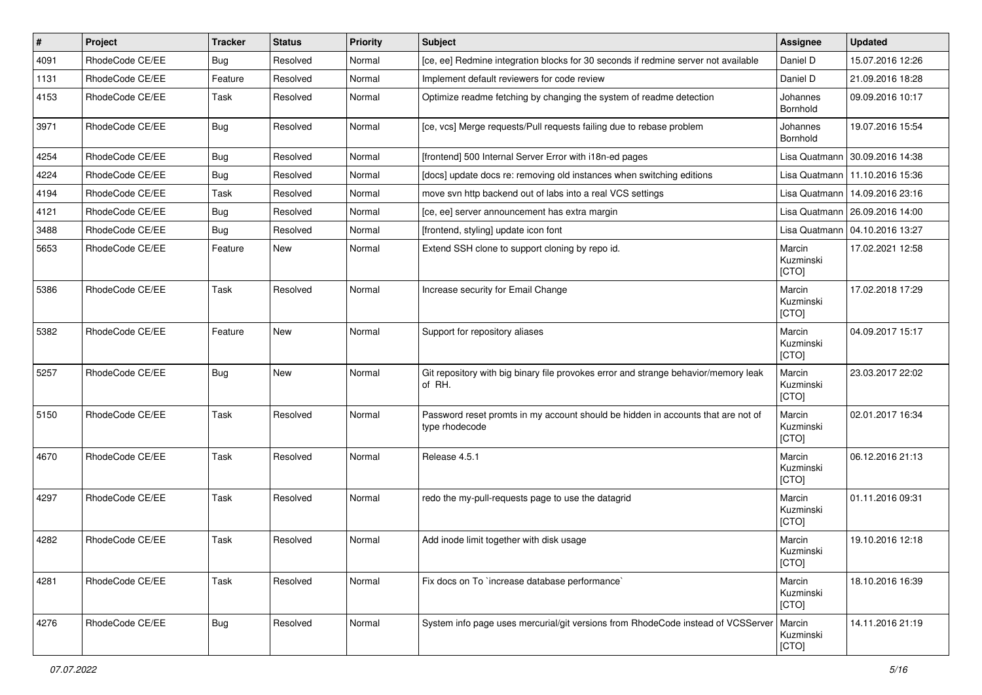| $\pmb{\#}$ | Project         | <b>Tracker</b> | <b>Status</b> | <b>Priority</b> | <b>Subject</b>                                                                                     | <b>Assignee</b>              | <b>Updated</b>                   |
|------------|-----------------|----------------|---------------|-----------------|----------------------------------------------------------------------------------------------------|------------------------------|----------------------------------|
| 4091       | RhodeCode CE/EE | Bug            | Resolved      | Normal          | [ce, ee] Redmine integration blocks for 30 seconds if redmine server not available                 | Daniel D                     | 15.07.2016 12:26                 |
| 1131       | RhodeCode CE/EE | Feature        | Resolved      | Normal          | Implement default reviewers for code review                                                        | Daniel D                     | 21.09.2016 18:28                 |
| 4153       | RhodeCode CE/EE | Task           | Resolved      | Normal          | Optimize readme fetching by changing the system of readme detection                                | Johannes<br>Bornhold         | 09.09.2016 10:17                 |
| 3971       | RhodeCode CE/EE | Bug            | Resolved      | Normal          | [ce, vcs] Merge requests/Pull requests failing due to rebase problem                               | Johannes<br>Bornhold         | 19.07.2016 15:54                 |
| 4254       | RhodeCode CE/EE | Bug            | Resolved      | Normal          | [frontend] 500 Internal Server Error with i18n-ed pages                                            |                              | Lisa Quatmann   30.09.2016 14:38 |
| 4224       | RhodeCode CE/EE | Bug            | Resolved      | Normal          | [docs] update docs re: removing old instances when switching editions                              | Lisa Quatmann                | 11.10.2016 15:36                 |
| 4194       | RhodeCode CE/EE | Task           | Resolved      | Normal          | move svn http backend out of labs into a real VCS settings                                         | Lisa Quatmann                | 14.09.2016 23:16                 |
| 4121       | RhodeCode CE/EE | Bug            | Resolved      | Normal          | [ce, ee] server announcement has extra margin                                                      |                              | Lisa Quatmann   26.09.2016 14:00 |
| 3488       | RhodeCode CE/EE | Bug            | Resolved      | Normal          | [frontend, styling] update icon font                                                               |                              | Lisa Quatmann   04.10.2016 13:27 |
| 5653       | RhodeCode CE/EE | Feature        | New           | Normal          | Extend SSH clone to support cloning by repo id.                                                    | Marcin<br>Kuzminski<br>[CTO] | 17.02.2021 12:58                 |
| 5386       | RhodeCode CE/EE | Task           | Resolved      | Normal          | Increase security for Email Change                                                                 | Marcin<br>Kuzminski<br>[CTO] | 17.02.2018 17:29                 |
| 5382       | RhodeCode CE/EE | Feature        | <b>New</b>    | Normal          | Support for repository aliases                                                                     | Marcin<br>Kuzminski<br>[CTO] | 04.09.2017 15:17                 |
| 5257       | RhodeCode CE/EE | <b>Bug</b>     | <b>New</b>    | Normal          | Git repository with big binary file provokes error and strange behavior/memory leak<br>of RH.      | Marcin<br>Kuzminski<br>[CTO] | 23.03.2017 22:02                 |
| 5150       | RhodeCode CE/EE | Task           | Resolved      | Normal          | Password reset promts in my account should be hidden in accounts that are not of<br>type rhodecode | Marcin<br>Kuzminski<br>[CTO] | 02.01.2017 16:34                 |
| 4670       | RhodeCode CE/EE | Task           | Resolved      | Normal          | Release 4.5.1                                                                                      | Marcin<br>Kuzminski<br>[CTO] | 06.12.2016 21:13                 |
| 4297       | RhodeCode CE/EE | Task           | Resolved      | Normal          | redo the my-pull-requests page to use the datagrid                                                 | Marcin<br>Kuzminski<br>[CTO] | 01.11.2016 09:31                 |
| 4282       | RhodeCode CE/EE | Task           | Resolved      | Normal          | Add inode limit together with disk usage                                                           | Marcin<br>Kuzminski<br>[CTO] | 19.10.2016 12:18                 |
| 4281       | RhodeCode CE/EE | Task           | Resolved      | Normal          | Fix docs on To `increase database performance`                                                     | Marcin<br>Kuzminski<br>[CTO] | 18.10.2016 16:39                 |
| 4276       | RhodeCode CE/EE | <b>Bug</b>     | Resolved      | Normal          | System info page uses mercurial/git versions from RhodeCode instead of VCSServer                   | Marcin<br>Kuzminski<br>[CTO] | 14.11.2016 21:19                 |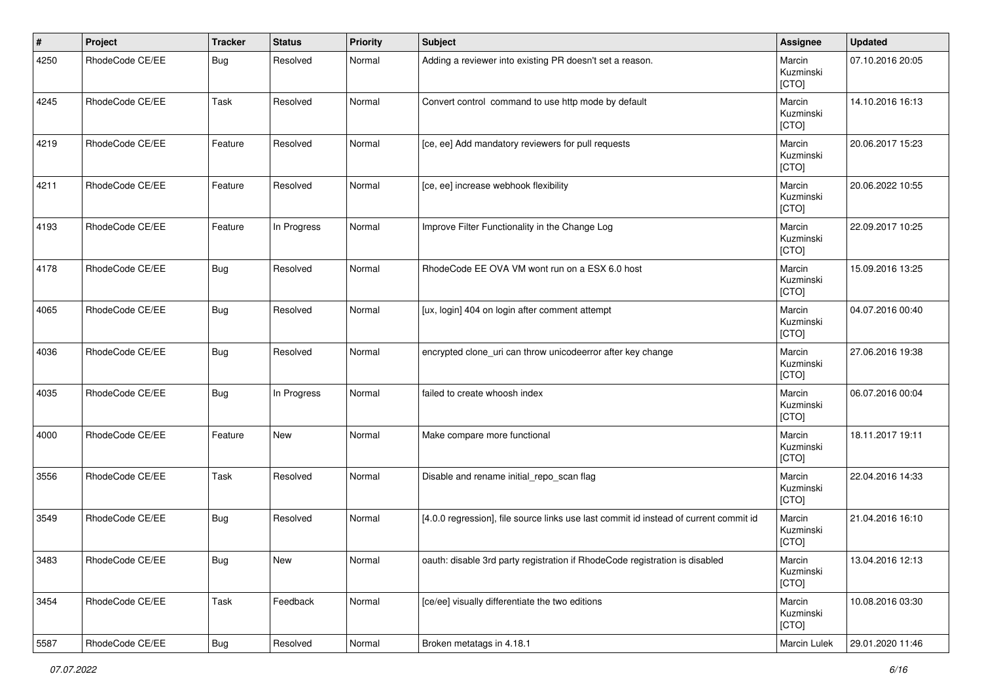| #    | Project         | <b>Tracker</b> | <b>Status</b> | <b>Priority</b> | <b>Subject</b>                                                                        | Assignee                     | <b>Updated</b>   |
|------|-----------------|----------------|---------------|-----------------|---------------------------------------------------------------------------------------|------------------------------|------------------|
| 4250 | RhodeCode CE/EE | Bug            | Resolved      | Normal          | Adding a reviewer into existing PR doesn't set a reason.                              | Marcin<br>Kuzminski<br>[CTO] | 07.10.2016 20:05 |
| 4245 | RhodeCode CE/EE | Task           | Resolved      | Normal          | Convert control command to use http mode by default                                   | Marcin<br>Kuzminski<br>[CTO] | 14.10.2016 16:13 |
| 4219 | RhodeCode CE/EE | Feature        | Resolved      | Normal          | [ce, ee] Add mandatory reviewers for pull requests                                    | Marcin<br>Kuzminski<br>[CTO] | 20.06.2017 15:23 |
| 4211 | RhodeCode CE/EE | Feature        | Resolved      | Normal          | [ce, ee] increase webhook flexibility                                                 | Marcin<br>Kuzminski<br>[CTO] | 20.06.2022 10:55 |
| 4193 | RhodeCode CE/EE | Feature        | In Progress   | Normal          | Improve Filter Functionality in the Change Log                                        | Marcin<br>Kuzminski<br>[CTO] | 22.09.2017 10:25 |
| 4178 | RhodeCode CE/EE | <b>Bug</b>     | Resolved      | Normal          | RhodeCode EE OVA VM wont run on a ESX 6.0 host                                        | Marcin<br>Kuzminski<br>[CTO] | 15.09.2016 13:25 |
| 4065 | RhodeCode CE/EE | <b>Bug</b>     | Resolved      | Normal          | [ux, login] 404 on login after comment attempt                                        | Marcin<br>Kuzminski<br>[CTO] | 04.07.2016 00:40 |
| 4036 | RhodeCode CE/EE | <b>Bug</b>     | Resolved      | Normal          | encrypted clone_uri can throw unicodeerror after key change                           | Marcin<br>Kuzminski<br>[CTO] | 27.06.2016 19:38 |
| 4035 | RhodeCode CE/EE | <b>Bug</b>     | In Progress   | Normal          | failed to create whoosh index                                                         | Marcin<br>Kuzminski<br>[CTO] | 06.07.2016 00:04 |
| 4000 | RhodeCode CE/EE | Feature        | New           | Normal          | Make compare more functional                                                          | Marcin<br>Kuzminski<br>[CTO] | 18.11.2017 19:11 |
| 3556 | RhodeCode CE/EE | Task           | Resolved      | Normal          | Disable and rename initial_repo_scan flag                                             | Marcin<br>Kuzminski<br>[CTO] | 22.04.2016 14:33 |
| 3549 | RhodeCode CE/EE | <b>Bug</b>     | Resolved      | Normal          | [4.0.0 regression], file source links use last commit id instead of current commit id | Marcin<br>Kuzminski<br>[CTO] | 21.04.2016 16:10 |
| 3483 | RhodeCode CE/EE | Bug            | New           | Normal          | oauth: disable 3rd party registration if RhodeCode registration is disabled           | Marcin<br>Kuzminski<br>[CTO] | 13.04.2016 12:13 |
| 3454 | RhodeCode CE/EE | Task           | Feedback      | Normal          | [ce/ee] visually differentiate the two editions                                       | Marcin<br>Kuzminski<br>[CTO] | 10.08.2016 03:30 |
| 5587 | RhodeCode CE/EE | <b>Bug</b>     | Resolved      | Normal          | Broken metatags in 4.18.1                                                             | Marcin Lulek                 | 29.01.2020 11:46 |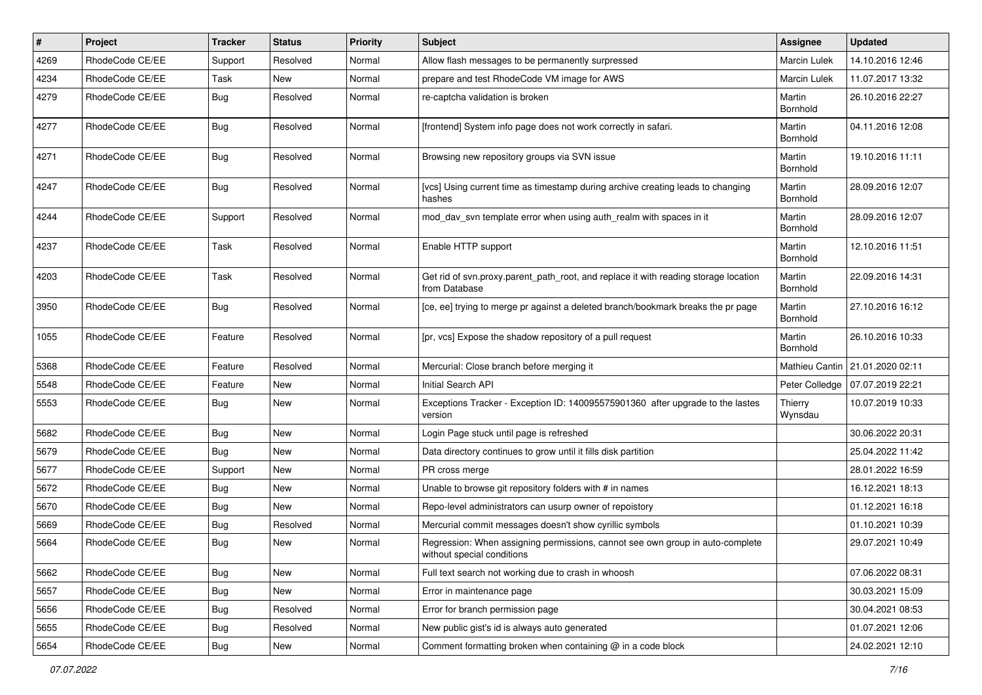| $\pmb{\#}$ | <b>Project</b>  | <b>Tracker</b> | <b>Status</b> | <b>Priority</b> | <b>Subject</b>                                                                                              | <b>Assignee</b>           | <b>Updated</b>                    |
|------------|-----------------|----------------|---------------|-----------------|-------------------------------------------------------------------------------------------------------------|---------------------------|-----------------------------------|
| 4269       | RhodeCode CE/EE | Support        | Resolved      | Normal          | Allow flash messages to be permanently surpressed                                                           | Marcin Lulek              | 14.10.2016 12:46                  |
| 4234       | RhodeCode CE/EE | Task           | New           | Normal          | prepare and test RhodeCode VM image for AWS                                                                 | <b>Marcin Lulek</b>       | 11.07.2017 13:32                  |
| 4279       | RhodeCode CE/EE | Bug            | Resolved      | Normal          | re-captcha validation is broken                                                                             | Martin<br>Bornhold        | 26.10.2016 22:27                  |
| 4277       | RhodeCode CE/EE | Bug            | Resolved      | Normal          | [frontend] System info page does not work correctly in safari.                                              | Martin<br>Bornhold        | 04.11.2016 12:08                  |
| 4271       | RhodeCode CE/EE | <b>Bug</b>     | Resolved      | Normal          | Browsing new repository groups via SVN issue                                                                | Martin<br><b>Bornhold</b> | 19.10.2016 11:11                  |
| 4247       | RhodeCode CE/EE | Bug            | Resolved      | Normal          | [vcs] Using current time as timestamp during archive creating leads to changing<br>hashes                   | Martin<br>Bornhold        | 28.09.2016 12:07                  |
| 4244       | RhodeCode CE/EE | Support        | Resolved      | Normal          | mod day syn template error when using auth realm with spaces in it                                          | Martin<br>Bornhold        | 28.09.2016 12:07                  |
| 4237       | RhodeCode CE/EE | Task           | Resolved      | Normal          | Enable HTTP support                                                                                         | Martin<br>Bornhold        | 12.10.2016 11:51                  |
| 4203       | RhodeCode CE/EE | Task           | Resolved      | Normal          | Get rid of svn.proxy.parent_path_root, and replace it with reading storage location<br>from Database        | Martin<br>Bornhold        | 22.09.2016 14:31                  |
| 3950       | RhodeCode CE/EE | Bug            | Resolved      | Normal          | [ce, ee] trying to merge pr against a deleted branch/bookmark breaks the pr page                            | Martin<br>Bornhold        | 27.10.2016 16:12                  |
| 1055       | RhodeCode CE/EE | Feature        | Resolved      | Normal          | [pr, vcs] Expose the shadow repository of a pull request                                                    | Martin<br>Bornhold        | 26.10.2016 10:33                  |
| 5368       | RhodeCode CE/EE | Feature        | Resolved      | Normal          | Mercurial: Close branch before merging it                                                                   |                           | Mathieu Cantin   21.01.2020 02:11 |
| 5548       | RhodeCode CE/EE | Feature        | New           | Normal          | Initial Search API                                                                                          | Peter Colledge            | 07.07.2019 22:21                  |
| 5553       | RhodeCode CE/EE | Bug            | New           | Normal          | Exceptions Tracker - Exception ID: 140095575901360 after upgrade to the lastes<br>version                   | Thierry<br>Wynsdau        | 10.07.2019 10:33                  |
| 5682       | RhodeCode CE/EE | Bug            | New           | Normal          | Login Page stuck until page is refreshed                                                                    |                           | 30.06.2022 20:31                  |
| 5679       | RhodeCode CE/EE | Bug            | New           | Normal          | Data directory continues to grow until it fills disk partition                                              |                           | 25.04.2022 11:42                  |
| 5677       | RhodeCode CE/EE | Support        | <b>New</b>    | Normal          | PR cross merge                                                                                              |                           | 28.01.2022 16:59                  |
| 5672       | RhodeCode CE/EE | <b>Bug</b>     | New           | Normal          | Unable to browse git repository folders with # in names                                                     |                           | 16.12.2021 18:13                  |
| 5670       | RhodeCode CE/EE | Bug            | New           | Normal          | Repo-level administrators can usurp owner of repoistory                                                     |                           | 01.12.2021 16:18                  |
| 5669       | RhodeCode CE/EE | Bug            | Resolved      | Normal          | Mercurial commit messages doesn't show cyrillic symbols                                                     |                           | 01.10.2021 10:39                  |
| 5664       | RhodeCode CE/EE | <b>Bug</b>     | New           | Normal          | Regression: When assigning permissions, cannot see own group in auto-complete<br>without special conditions |                           | 29.07.2021 10:49                  |
| 5662       | RhodeCode CE/EE | Bug            | New           | Normal          | Full text search not working due to crash in whoosh                                                         |                           | 07.06.2022 08:31                  |
| 5657       | RhodeCode CE/EE | <b>Bug</b>     | New           | Normal          | Error in maintenance page                                                                                   |                           | 30.03.2021 15:09                  |
| 5656       | RhodeCode CE/EE | Bug            | Resolved      | Normal          | Error for branch permission page                                                                            |                           | 30.04.2021 08:53                  |
| 5655       | RhodeCode CE/EE | Bug            | Resolved      | Normal          | New public gist's id is always auto generated                                                               |                           | 01.07.2021 12:06                  |
| 5654       | RhodeCode CE/EE | <b>Bug</b>     | New           | Normal          | Comment formatting broken when containing @ in a code block                                                 |                           | 24.02.2021 12:10                  |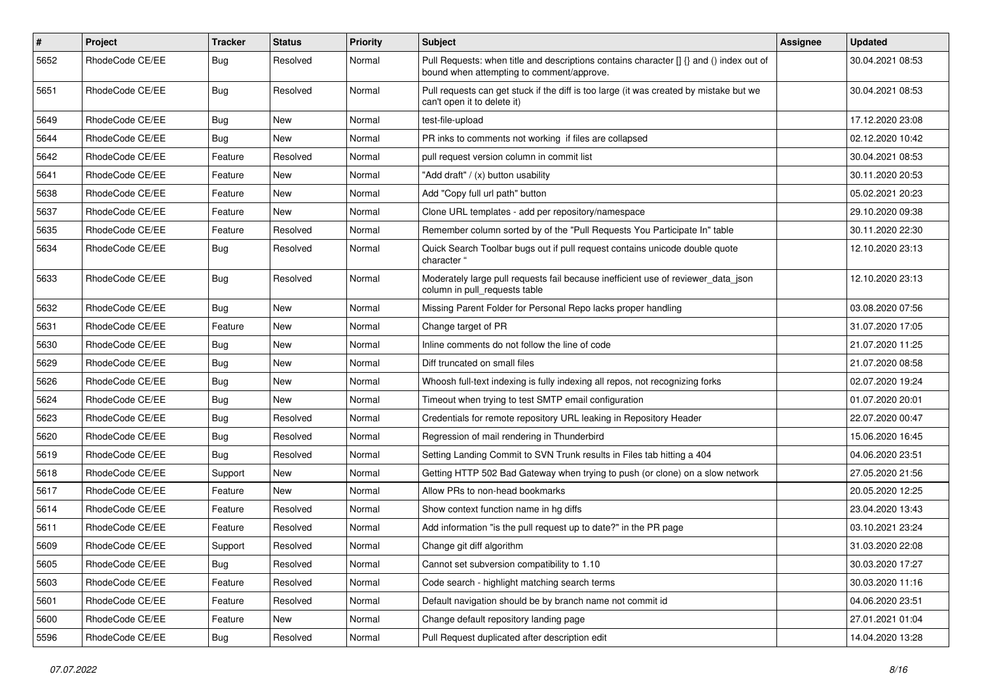| $\pmb{\#}$ | <b>Project</b>  | <b>Tracker</b> | <b>Status</b> | <b>Priority</b> | <b>Subject</b>                                                                                                                       | Assignee | <b>Updated</b>   |
|------------|-----------------|----------------|---------------|-----------------|--------------------------------------------------------------------------------------------------------------------------------------|----------|------------------|
| 5652       | RhodeCode CE/EE | Bug            | Resolved      | Normal          | Pull Requests: when title and descriptions contains character [] {} and () index out of<br>bound when attempting to comment/approve. |          | 30.04.2021 08:53 |
| 5651       | RhodeCode CE/EE | Bug            | Resolved      | Normal          | Pull requests can get stuck if the diff is too large (it was created by mistake but we<br>can't open it to delete it)                |          | 30.04.2021 08:53 |
| 5649       | RhodeCode CE/EE | Bug            | <b>New</b>    | Normal          | test-file-upload                                                                                                                     |          | 17.12.2020 23:08 |
| 5644       | RhodeCode CE/EE | <b>Bug</b>     | New           | Normal          | PR inks to comments not working if files are collapsed                                                                               |          | 02.12.2020 10:42 |
| 5642       | RhodeCode CE/EE | Feature        | Resolved      | Normal          | pull request version column in commit list                                                                                           |          | 30.04.2021 08:53 |
| 5641       | RhodeCode CE/EE | Feature        | New           | Normal          | "Add draft" / (x) button usability                                                                                                   |          | 30.11.2020 20:53 |
| 5638       | RhodeCode CE/EE | Feature        | <b>New</b>    | Normal          | Add "Copy full url path" button                                                                                                      |          | 05.02.2021 20:23 |
| 5637       | RhodeCode CE/EE | Feature        | <b>New</b>    | Normal          | Clone URL templates - add per repository/namespace                                                                                   |          | 29.10.2020 09:38 |
| 5635       | RhodeCode CE/EE | Feature        | Resolved      | Normal          | Remember column sorted by of the "Pull Requests You Participate In" table                                                            |          | 30.11.2020 22:30 |
| 5634       | RhodeCode CE/EE | Bug            | Resolved      | Normal          | Quick Search Toolbar bugs out if pull request contains unicode double quote<br>character "                                           |          | 12.10.2020 23:13 |
| 5633       | RhodeCode CE/EE | Bug            | Resolved      | Normal          | Moderately large pull requests fail because inefficient use of reviewer_data_json<br>column in pull requests table                   |          | 12.10.2020 23:13 |
| 5632       | RhodeCode CE/EE | Bug            | <b>New</b>    | Normal          | Missing Parent Folder for Personal Repo lacks proper handling                                                                        |          | 03.08.2020 07:56 |
| 5631       | RhodeCode CE/EE | Feature        | <b>New</b>    | Normal          | Change target of PR                                                                                                                  |          | 31.07.2020 17:05 |
| 5630       | RhodeCode CE/EE | Bug            | New           | Normal          | Inline comments do not follow the line of code                                                                                       |          | 21.07.2020 11:25 |
| 5629       | RhodeCode CE/EE | Bug            | New           | Normal          | Diff truncated on small files                                                                                                        |          | 21.07.2020 08:58 |
| 5626       | RhodeCode CE/EE | Bug            | New           | Normal          | Whoosh full-text indexing is fully indexing all repos, not recognizing forks                                                         |          | 02.07.2020 19:24 |
| 5624       | RhodeCode CE/EE | Bug            | New           | Normal          | Timeout when trying to test SMTP email configuration                                                                                 |          | 01.07.2020 20:01 |
| 5623       | RhodeCode CE/EE | <b>Bug</b>     | Resolved      | Normal          | Credentials for remote repository URL leaking in Repository Header                                                                   |          | 22.07.2020 00:47 |
| 5620       | RhodeCode CE/EE | Bug            | Resolved      | Normal          | Regression of mail rendering in Thunderbird                                                                                          |          | 15.06.2020 16:45 |
| 5619       | RhodeCode CE/EE | Bug            | Resolved      | Normal          | Setting Landing Commit to SVN Trunk results in Files tab hitting a 404                                                               |          | 04.06.2020 23:51 |
| 5618       | RhodeCode CE/EE | Support        | New           | Normal          | Getting HTTP 502 Bad Gateway when trying to push (or clone) on a slow network                                                        |          | 27.05.2020 21:56 |
| 5617       | RhodeCode CE/EE | Feature        | <b>New</b>    | Normal          | Allow PRs to non-head bookmarks                                                                                                      |          | 20.05.2020 12:25 |
| 5614       | RhodeCode CE/EE | Feature        | Resolved      | Normal          | Show context function name in hg diffs                                                                                               |          | 23.04.2020 13:43 |
| 5611       | RhodeCode CE/EE | Feature        | Resolved      | Normal          | Add information "is the pull request up to date?" in the PR page                                                                     |          | 03.10.2021 23:24 |
| 5609       | RhodeCode CE/EE | Support        | Resolved      | Normal          | Change git diff algorithm                                                                                                            |          | 31.03.2020 22:08 |
| 5605       | RhodeCode CE/EE | <b>Bug</b>     | Resolved      | Normal          | Cannot set subversion compatibility to 1.10                                                                                          |          | 30.03.2020 17:27 |
| 5603       | RhodeCode CE/EE | Feature        | Resolved      | Normal          | Code search - highlight matching search terms                                                                                        |          | 30.03.2020 11:16 |
| 5601       | RhodeCode CE/EE | Feature        | Resolved      | Normal          | Default navigation should be by branch name not commit id                                                                            |          | 04.06.2020 23:51 |
| 5600       | RhodeCode CE/EE | Feature        | New           | Normal          | Change default repository landing page                                                                                               |          | 27.01.2021 01:04 |
| 5596       | RhodeCode CE/EE | <b>Bug</b>     | Resolved      | Normal          | Pull Request duplicated after description edit                                                                                       |          | 14.04.2020 13:28 |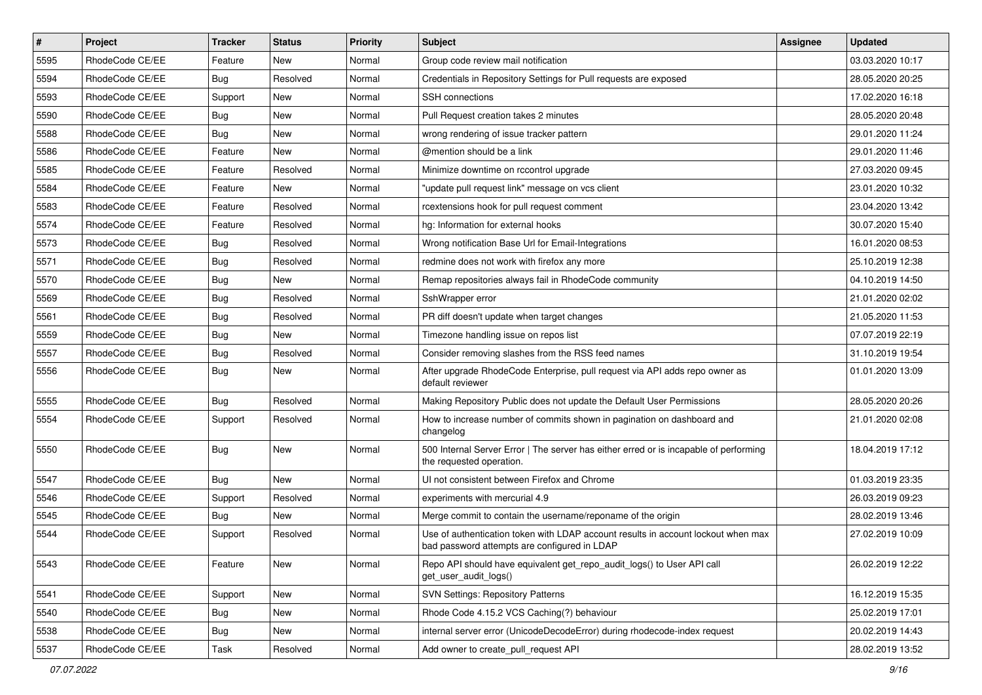| $\vert$ # | Project         | <b>Tracker</b> | <b>Status</b> | Priority | Subject                                                                                                                           | <b>Assignee</b> | <b>Updated</b>   |
|-----------|-----------------|----------------|---------------|----------|-----------------------------------------------------------------------------------------------------------------------------------|-----------------|------------------|
| 5595      | RhodeCode CE/EE | Feature        | New           | Normal   | Group code review mail notification                                                                                               |                 | 03.03.2020 10:17 |
| 5594      | RhodeCode CE/EE | Bug            | Resolved      | Normal   | Credentials in Repository Settings for Pull requests are exposed                                                                  |                 | 28.05.2020 20:25 |
| 5593      | RhodeCode CE/EE | Support        | New           | Normal   | SSH connections                                                                                                                   |                 | 17.02.2020 16:18 |
| 5590      | RhodeCode CE/EE | <b>Bug</b>     | New           | Normal   | Pull Request creation takes 2 minutes                                                                                             |                 | 28.05.2020 20:48 |
| 5588      | RhodeCode CE/EE | Bug            | <b>New</b>    | Normal   | wrong rendering of issue tracker pattern                                                                                          |                 | 29.01.2020 11:24 |
| 5586      | RhodeCode CE/EE | Feature        | <b>New</b>    | Normal   | @mention should be a link                                                                                                         |                 | 29.01.2020 11:46 |
| 5585      | RhodeCode CE/EE | Feature        | Resolved      | Normal   | Minimize downtime on rccontrol upgrade                                                                                            |                 | 27.03.2020 09:45 |
| 5584      | RhodeCode CE/EE | Feature        | New           | Normal   | "update pull request link" message on vcs client                                                                                  |                 | 23.01.2020 10:32 |
| 5583      | RhodeCode CE/EE | Feature        | Resolved      | Normal   | rcextensions hook for pull request comment                                                                                        |                 | 23.04.2020 13:42 |
| 5574      | RhodeCode CE/EE | Feature        | Resolved      | Normal   | hg: Information for external hooks                                                                                                |                 | 30.07.2020 15:40 |
| 5573      | RhodeCode CE/EE | Bug            | Resolved      | Normal   | Wrong notification Base Url for Email-Integrations                                                                                |                 | 16.01.2020 08:53 |
| 5571      | RhodeCode CE/EE | Bug            | Resolved      | Normal   | redmine does not work with firefox any more                                                                                       |                 | 25.10.2019 12:38 |
| 5570      | RhodeCode CE/EE | Bug            | New           | Normal   | Remap repositories always fail in RhodeCode community                                                                             |                 | 04.10.2019 14:50 |
| 5569      | RhodeCode CE/EE | <b>Bug</b>     | Resolved      | Normal   | SshWrapper error                                                                                                                  |                 | 21.01.2020 02:02 |
| 5561      | RhodeCode CE/EE | Bug            | Resolved      | Normal   | PR diff doesn't update when target changes                                                                                        |                 | 21.05.2020 11:53 |
| 5559      | RhodeCode CE/EE | Bug            | New           | Normal   | Timezone handling issue on repos list                                                                                             |                 | 07.07.2019 22:19 |
| 5557      | RhodeCode CE/EE | Bug            | Resolved      | Normal   | Consider removing slashes from the RSS feed names                                                                                 |                 | 31.10.2019 19:54 |
| 5556      | RhodeCode CE/EE | <b>Bug</b>     | <b>New</b>    | Normal   | After upgrade RhodeCode Enterprise, pull request via API adds repo owner as<br>default reviewer                                   |                 | 01.01.2020 13:09 |
| 5555      | RhodeCode CE/EE | Bug            | Resolved      | Normal   | Making Repository Public does not update the Default User Permissions                                                             |                 | 28.05.2020 20:26 |
| 5554      | RhodeCode CE/EE | Support        | Resolved      | Normal   | How to increase number of commits shown in pagination on dashboard and<br>changelog                                               |                 | 21.01.2020 02:08 |
| 5550      | RhodeCode CE/EE | Bug            | New           | Normal   | 500 Internal Server Error   The server has either erred or is incapable of performing<br>the requested operation.                 |                 | 18.04.2019 17:12 |
| 5547      | RhodeCode CE/EE | Bug            | New           | Normal   | UI not consistent between Firefox and Chrome                                                                                      |                 | 01.03.2019 23:35 |
| 5546      | RhodeCode CE/EE | Support        | Resolved      | Normal   | experiments with mercurial 4.9                                                                                                    |                 | 26.03.2019 09:23 |
| 5545      | RhodeCode CE/EE | Bug            | New           | Normal   | Merge commit to contain the username/reponame of the origin                                                                       |                 | 28.02.2019 13:46 |
| 5544      | RhodeCode CE/EE | Support        | Resolved      | Normal   | Use of authentication token with LDAP account results in account lockout when max<br>bad password attempts are configured in LDAP |                 | 27.02.2019 10:09 |
| 5543      | RhodeCode CE/EE | Feature        | New           | Normal   | Repo API should have equivalent get_repo_audit_logs() to User API call<br>get_user_audit_logs()                                   |                 | 26.02.2019 12:22 |
| 5541      | RhodeCode CE/EE | Support        | New           | Normal   | <b>SVN Settings: Repository Patterns</b>                                                                                          |                 | 16.12.2019 15:35 |
| 5540      | RhodeCode CE/EE | Bug            | New           | Normal   | Rhode Code 4.15.2 VCS Caching(?) behaviour                                                                                        |                 | 25.02.2019 17:01 |
| 5538      | RhodeCode CE/EE | <b>Bug</b>     | New           | Normal   | internal server error (UnicodeDecodeError) during rhodecode-index request                                                         |                 | 20.02.2019 14:43 |
| 5537      | RhodeCode CE/EE | Task           | Resolved      | Normal   | Add owner to create_pull_request API                                                                                              |                 | 28.02.2019 13:52 |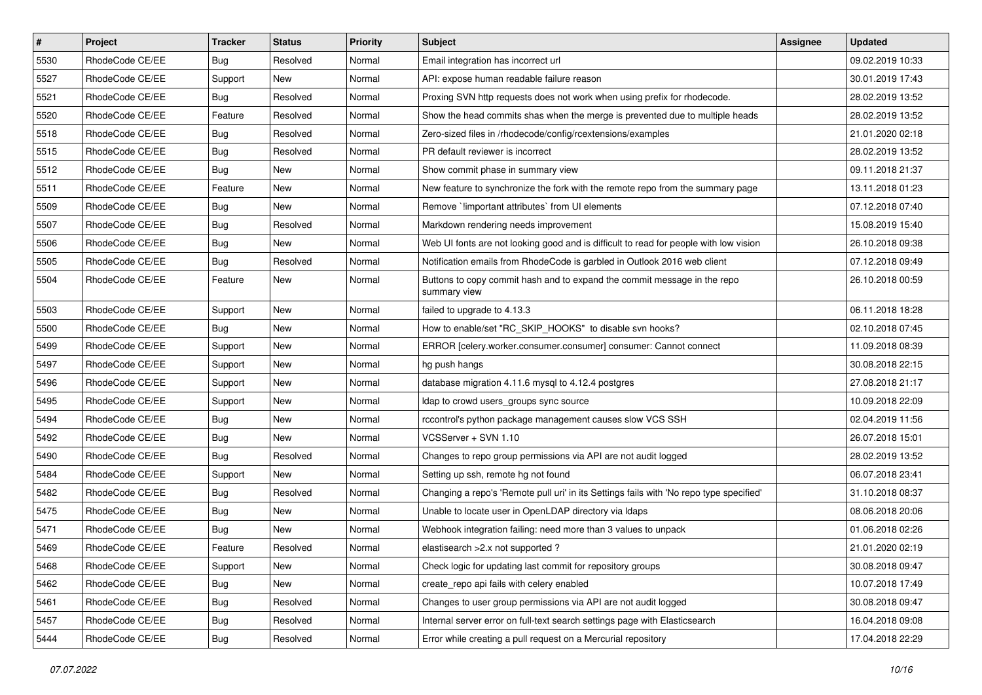| $\vert$ # | Project         | <b>Tracker</b> | <b>Status</b> | <b>Priority</b> | <b>Subject</b>                                                                           | <b>Assignee</b> | <b>Updated</b>   |
|-----------|-----------------|----------------|---------------|-----------------|------------------------------------------------------------------------------------------|-----------------|------------------|
| 5530      | RhodeCode CE/EE | <b>Bug</b>     | Resolved      | Normal          | Email integration has incorrect url                                                      |                 | 09.02.2019 10:33 |
| 5527      | RhodeCode CE/EE | Support        | <b>New</b>    | Normal          | API: expose human readable failure reason                                                |                 | 30.01.2019 17:43 |
| 5521      | RhodeCode CE/EE | Bug            | Resolved      | Normal          | Proxing SVN http requests does not work when using prefix for rhodecode.                 |                 | 28.02.2019 13:52 |
| 5520      | RhodeCode CE/EE | Feature        | Resolved      | Normal          | Show the head commits shas when the merge is prevented due to multiple heads             |                 | 28.02.2019 13:52 |
| 5518      | RhodeCode CE/EE | Bug            | Resolved      | Normal          | Zero-sized files in /rhodecode/config/rcextensions/examples                              |                 | 21.01.2020 02:18 |
| 5515      | RhodeCode CE/EE | <b>Bug</b>     | Resolved      | Normal          | PR default reviewer is incorrect                                                         |                 | 28.02.2019 13:52 |
| 5512      | RhodeCode CE/EE | Bug            | New           | Normal          | Show commit phase in summary view                                                        |                 | 09.11.2018 21:37 |
| 5511      | RhodeCode CE/EE | Feature        | New           | Normal          | New feature to synchronize the fork with the remote repo from the summary page           |                 | 13.11.2018 01:23 |
| 5509      | RhodeCode CE/EE | Bug            | New           | Normal          | Remove `!important attributes` from UI elements                                          |                 | 07.12.2018 07:40 |
| 5507      | RhodeCode CE/EE | Bug            | Resolved      | Normal          | Markdown rendering needs improvement                                                     |                 | 15.08.2019 15:40 |
| 5506      | RhodeCode CE/EE | <b>Bug</b>     | New           | Normal          | Web UI fonts are not looking good and is difficult to read for people with low vision    |                 | 26.10.2018 09:38 |
| 5505      | RhodeCode CE/EE | Bug            | Resolved      | Normal          | Notification emails from RhodeCode is garbled in Outlook 2016 web client                 |                 | 07.12.2018 09:49 |
| 5504      | RhodeCode CE/EE | Feature        | New           | Normal          | Buttons to copy commit hash and to expand the commit message in the repo<br>summary view |                 | 26.10.2018 00:59 |
| 5503      | RhodeCode CE/EE | Support        | New           | Normal          | failed to upgrade to 4.13.3                                                              |                 | 06.11.2018 18:28 |
| 5500      | RhodeCode CE/EE | Bug            | New           | Normal          | How to enable/set "RC_SKIP_HOOKS" to disable svn hooks?                                  |                 | 02.10.2018 07:45 |
| 5499      | RhodeCode CE/EE | Support        | New           | Normal          | ERROR [celery.worker.consumer.consumer] consumer: Cannot connect                         |                 | 11.09.2018 08:39 |
| 5497      | RhodeCode CE/EE | Support        | New           | Normal          | hg push hangs                                                                            |                 | 30.08.2018 22:15 |
| 5496      | RhodeCode CE/EE | Support        | New           | Normal          | database migration 4.11.6 mysql to 4.12.4 postgres                                       |                 | 27.08.2018 21:17 |
| 5495      | RhodeCode CE/EE | Support        | New           | Normal          | Idap to crowd users_groups sync source                                                   |                 | 10.09.2018 22:09 |
| 5494      | RhodeCode CE/EE | <b>Bug</b>     | New           | Normal          | rccontrol's python package management causes slow VCS SSH                                |                 | 02.04.2019 11:56 |
| 5492      | RhodeCode CE/EE | Bug            | New           | Normal          | VCSServer + SVN 1.10                                                                     |                 | 26.07.2018 15:01 |
| 5490      | RhodeCode CE/EE | Bug            | Resolved      | Normal          | Changes to repo group permissions via API are not audit logged                           |                 | 28.02.2019 13:52 |
| 5484      | RhodeCode CE/EE | Support        | New           | Normal          | Setting up ssh, remote hg not found                                                      |                 | 06.07.2018 23:41 |
| 5482      | RhodeCode CE/EE | <b>Bug</b>     | Resolved      | Normal          | Changing a repo's 'Remote pull uri' in its Settings fails with 'No repo type specified'  |                 | 31.10.2018 08:37 |
| 5475      | RhodeCode CE/EE | Bug            | New           | Normal          | Unable to locate user in OpenLDAP directory via Idaps                                    |                 | 08.06.2018 20:06 |
| 5471      | RhodeCode CE/EE | <b>Bug</b>     | New           | Normal          | Webhook integration failing: need more than 3 values to unpack                           |                 | 01.06.2018 02:26 |
| 5469      | RhodeCode CE/EE | Feature        | Resolved      | Normal          | elastisearch > 2.x not supported ?                                                       |                 | 21.01.2020 02:19 |
| 5468      | RhodeCode CE/EE | Support        | New           | Normal          | Check logic for updating last commit for repository groups                               |                 | 30.08.2018 09:47 |
| 5462      | RhodeCode CE/EE | <b>Bug</b>     | New           | Normal          | create_repo api fails with celery enabled                                                |                 | 10.07.2018 17:49 |
| 5461      | RhodeCode CE/EE | <b>Bug</b>     | Resolved      | Normal          | Changes to user group permissions via API are not audit logged                           |                 | 30.08.2018 09:47 |
| 5457      | RhodeCode CE/EE | <b>Bug</b>     | Resolved      | Normal          | Internal server error on full-text search settings page with Elasticsearch               |                 | 16.04.2018 09:08 |
| 5444      | RhodeCode CE/EE | <b>Bug</b>     | Resolved      | Normal          | Error while creating a pull request on a Mercurial repository                            |                 | 17.04.2018 22:29 |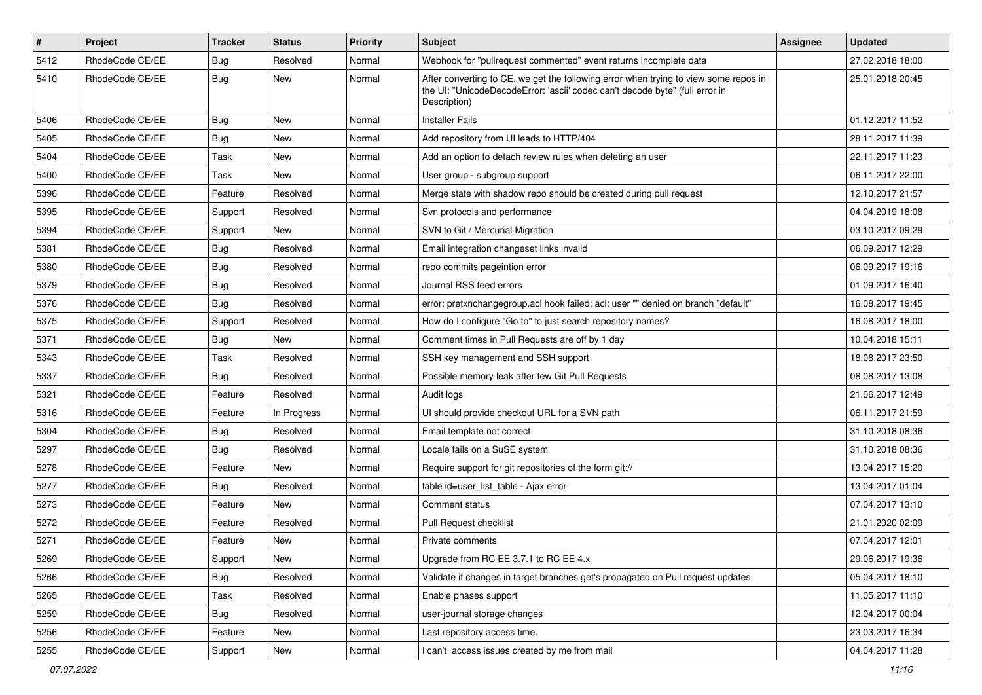| $\sharp$ | Project         | <b>Tracker</b> | <b>Status</b> | <b>Priority</b> | Subject                                                                                                                                                                              | Assignee | <b>Updated</b>   |
|----------|-----------------|----------------|---------------|-----------------|--------------------------------------------------------------------------------------------------------------------------------------------------------------------------------------|----------|------------------|
| 5412     | RhodeCode CE/EE | <b>Bug</b>     | Resolved      | Normal          | Webhook for "pullrequest commented" event returns incomplete data                                                                                                                    |          | 27.02.2018 18:00 |
| 5410     | RhodeCode CE/EE | Bug            | New           | Normal          | After converting to CE, we get the following error when trying to view some repos in<br>the UI: "UnicodeDecodeError: 'ascii' codec can't decode byte" (full error in<br>Description) |          | 25.01.2018 20:45 |
| 5406     | RhodeCode CE/EE | Bug            | <b>New</b>    | Normal          | <b>Installer Fails</b>                                                                                                                                                               |          | 01.12.2017 11:52 |
| 5405     | RhodeCode CE/EE | Bug            | New           | Normal          | Add repository from UI leads to HTTP/404                                                                                                                                             |          | 28.11.2017 11:39 |
| 5404     | RhodeCode CE/EE | Task           | New           | Normal          | Add an option to detach review rules when deleting an user                                                                                                                           |          | 22.11.2017 11:23 |
| 5400     | RhodeCode CE/EE | Task           | New           | Normal          | User group - subgroup support                                                                                                                                                        |          | 06.11.2017 22:00 |
| 5396     | RhodeCode CE/EE | Feature        | Resolved      | Normal          | Merge state with shadow repo should be created during pull request                                                                                                                   |          | 12.10.2017 21:57 |
| 5395     | RhodeCode CE/EE | Support        | Resolved      | Normal          | Svn protocols and performance                                                                                                                                                        |          | 04.04.2019 18:08 |
| 5394     | RhodeCode CE/EE | Support        | <b>New</b>    | Normal          | SVN to Git / Mercurial Migration                                                                                                                                                     |          | 03.10.2017 09:29 |
| 5381     | RhodeCode CE/EE | Bug            | Resolved      | Normal          | Email integration changeset links invalid                                                                                                                                            |          | 06.09.2017 12:29 |
| 5380     | RhodeCode CE/EE | Bug            | Resolved      | Normal          | repo commits pageintion error                                                                                                                                                        |          | 06.09.2017 19:16 |
| 5379     | RhodeCode CE/EE | <b>Bug</b>     | Resolved      | Normal          | Journal RSS feed errors                                                                                                                                                              |          | 01.09.2017 16:40 |
| 5376     | RhodeCode CE/EE | Bug            | Resolved      | Normal          | error: pretxnchangegroup.acl hook failed: acl: user "" denied on branch "default"                                                                                                    |          | 16.08.2017 19:45 |
| 5375     | RhodeCode CE/EE | Support        | Resolved      | Normal          | How do I configure "Go to" to just search repository names?                                                                                                                          |          | 16.08.2017 18:00 |
| 5371     | RhodeCode CE/EE | Bug            | <b>New</b>    | Normal          | Comment times in Pull Requests are off by 1 day                                                                                                                                      |          | 10.04.2018 15:11 |
| 5343     | RhodeCode CE/EE | Task           | Resolved      | Normal          | SSH key management and SSH support                                                                                                                                                   |          | 18.08.2017 23:50 |
| 5337     | RhodeCode CE/EE | Bug            | Resolved      | Normal          | Possible memory leak after few Git Pull Requests                                                                                                                                     |          | 08.08.2017 13:08 |
| 5321     | RhodeCode CE/EE | Feature        | Resolved      | Normal          | Audit logs                                                                                                                                                                           |          | 21.06.2017 12:49 |
| 5316     | RhodeCode CE/EE | Feature        | In Progress   | Normal          | UI should provide checkout URL for a SVN path                                                                                                                                        |          | 06.11.2017 21:59 |
| 5304     | RhodeCode CE/EE | Bug            | Resolved      | Normal          | Email template not correct                                                                                                                                                           |          | 31.10.2018 08:36 |
| 5297     | RhodeCode CE/EE | Bug            | Resolved      | Normal          | Locale fails on a SuSE system                                                                                                                                                        |          | 31.10.2018 08:36 |
| 5278     | RhodeCode CE/EE | Feature        | <b>New</b>    | Normal          | Require support for git repositories of the form git://                                                                                                                              |          | 13.04.2017 15:20 |
| 5277     | RhodeCode CE/EE | Bug            | Resolved      | Normal          | table id=user_list_table - Ajax error                                                                                                                                                |          | 13.04.2017 01:04 |
| 5273     | RhodeCode CE/EE | Feature        | <b>New</b>    | Normal          | Comment status                                                                                                                                                                       |          | 07.04.2017 13:10 |
| 5272     | RhodeCode CE/EE | Feature        | Resolved      | Normal          | Pull Request checklist                                                                                                                                                               |          | 21.01.2020 02:09 |
| 5271     | RhodeCode CE/EE | Feature        | New           | Normal          | Private comments                                                                                                                                                                     |          | 07.04.2017 12:01 |
| 5269     | RhodeCode CE/EE | Support        | New           | Normal          | Upgrade from RC EE 3.7.1 to RC EE 4.x                                                                                                                                                |          | 29.06.2017 19:36 |
| 5266     | RhodeCode CE/EE | Bug            | Resolved      | Normal          | Validate if changes in target branches get's propagated on Pull request updates                                                                                                      |          | 05.04.2017 18:10 |
| 5265     | RhodeCode CE/EE | Task           | Resolved      | Normal          | Enable phases support                                                                                                                                                                |          | 11.05.2017 11:10 |
| 5259     | RhodeCode CE/EE | Bug            | Resolved      | Normal          | user-journal storage changes                                                                                                                                                         |          | 12.04.2017 00:04 |
| 5256     | RhodeCode CE/EE | Feature        | New           | Normal          | Last repository access time.                                                                                                                                                         |          | 23.03.2017 16:34 |
| 5255     | RhodeCode CE/EE | Support        | New           | Normal          | I can't access issues created by me from mail                                                                                                                                        |          | 04.04.2017 11:28 |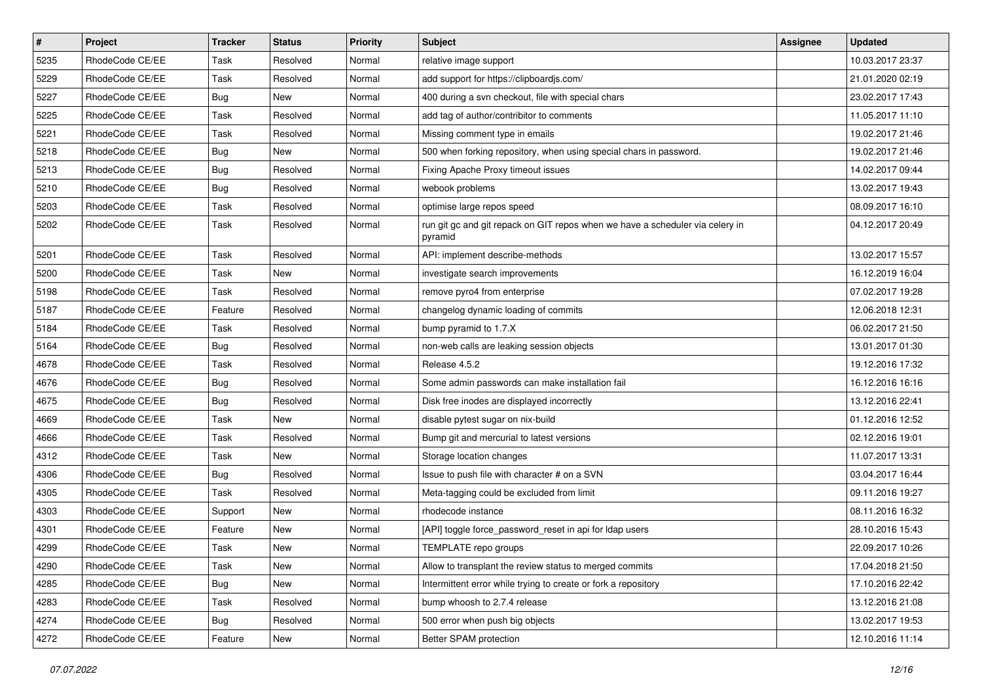| $\vert$ # | Project         | <b>Tracker</b> | <b>Status</b> | <b>Priority</b> | <b>Subject</b>                                                                           | <b>Assignee</b> | <b>Updated</b>   |
|-----------|-----------------|----------------|---------------|-----------------|------------------------------------------------------------------------------------------|-----------------|------------------|
| 5235      | RhodeCode CE/EE | Task           | Resolved      | Normal          | relative image support                                                                   |                 | 10.03.2017 23:37 |
| 5229      | RhodeCode CE/EE | Task           | Resolved      | Normal          | add support for https://clipboardjs.com/                                                 |                 | 21.01.2020 02:19 |
| 5227      | RhodeCode CE/EE | Bug            | New           | Normal          | 400 during a svn checkout, file with special chars                                       |                 | 23.02.2017 17:43 |
| 5225      | RhodeCode CE/EE | Task           | Resolved      | Normal          | add tag of author/contribitor to comments                                                |                 | 11.05.2017 11:10 |
| 5221      | RhodeCode CE/EE | Task           | Resolved      | Normal          | Missing comment type in emails                                                           |                 | 19.02.2017 21:46 |
| 5218      | RhodeCode CE/EE | Bug            | New           | Normal          | 500 when forking repository, when using special chars in password.                       |                 | 19.02.2017 21:46 |
| 5213      | RhodeCode CE/EE | Bug            | Resolved      | Normal          | Fixing Apache Proxy timeout issues                                                       |                 | 14.02.2017 09:44 |
| 5210      | RhodeCode CE/EE | Bug            | Resolved      | Normal          | webook problems                                                                          |                 | 13.02.2017 19:43 |
| 5203      | RhodeCode CE/EE | Task           | Resolved      | Normal          | optimise large repos speed                                                               |                 | 08.09.2017 16:10 |
| 5202      | RhodeCode CE/EE | Task           | Resolved      | Normal          | run git gc and git repack on GIT repos when we have a scheduler via celery in<br>pyramid |                 | 04.12.2017 20:49 |
| 5201      | RhodeCode CE/EE | Task           | Resolved      | Normal          | API: implement describe-methods                                                          |                 | 13.02.2017 15:57 |
| 5200      | RhodeCode CE/EE | Task           | <b>New</b>    | Normal          | investigate search improvements                                                          |                 | 16.12.2019 16:04 |
| 5198      | RhodeCode CE/EE | Task           | Resolved      | Normal          | remove pyro4 from enterprise                                                             |                 | 07.02.2017 19:28 |
| 5187      | RhodeCode CE/EE | Feature        | Resolved      | Normal          | changelog dynamic loading of commits                                                     |                 | 12.06.2018 12:31 |
| 5184      | RhodeCode CE/EE | Task           | Resolved      | Normal          | bump pyramid to 1.7.X                                                                    |                 | 06.02.2017 21:50 |
| 5164      | RhodeCode CE/EE | Bug            | Resolved      | Normal          | non-web calls are leaking session objects                                                |                 | 13.01.2017 01:30 |
| 4678      | RhodeCode CE/EE | Task           | Resolved      | Normal          | Release 4.5.2                                                                            |                 | 19.12.2016 17:32 |
| 4676      | RhodeCode CE/EE | <b>Bug</b>     | Resolved      | Normal          | Some admin passwords can make installation fail                                          |                 | 16.12.2016 16:16 |
| 4675      | RhodeCode CE/EE | Bug            | Resolved      | Normal          | Disk free inodes are displayed incorrectly                                               |                 | 13.12.2016 22:41 |
| 4669      | RhodeCode CE/EE | Task           | <b>New</b>    | Normal          | disable pytest sugar on nix-build                                                        |                 | 01.12.2016 12:52 |
| 4666      | RhodeCode CE/EE | Task           | Resolved      | Normal          | Bump git and mercurial to latest versions                                                |                 | 02.12.2016 19:01 |
| 4312      | RhodeCode CE/EE | Task           | New           | Normal          | Storage location changes                                                                 |                 | 11.07.2017 13:31 |
| 4306      | RhodeCode CE/EE | Bug            | Resolved      | Normal          | Issue to push file with character # on a SVN                                             |                 | 03.04.2017 16:44 |
| 4305      | RhodeCode CE/EE | Task           | Resolved      | Normal          | Meta-tagging could be excluded from limit                                                |                 | 09.11.2016 19:27 |
| 4303      | RhodeCode CE/EE | Support        | New           | Normal          | rhodecode instance                                                                       |                 | 08.11.2016 16:32 |
| 4301      | RhodeCode CE/EE | Feature        | New           | Normal          | [API] toggle force_password_reset in api for Idap users                                  |                 | 28.10.2016 15:43 |
| 4299      | RhodeCode CE/EE | Task           | New           | Normal          | TEMPLATE repo groups                                                                     |                 | 22.09.2017 10:26 |
| 4290      | RhodeCode CE/EE | Task           | New           | Normal          | Allow to transplant the review status to merged commits                                  |                 | 17.04.2018 21:50 |
| 4285      | RhodeCode CE/EE | <b>Bug</b>     | New           | Normal          | Intermittent error while trying to create or fork a repository                           |                 | 17.10.2016 22:42 |
| 4283      | RhodeCode CE/EE | Task           | Resolved      | Normal          | bump whoosh to 2.7.4 release                                                             |                 | 13.12.2016 21:08 |
| 4274      | RhodeCode CE/EE | <b>Bug</b>     | Resolved      | Normal          | 500 error when push big objects                                                          |                 | 13.02.2017 19:53 |
| 4272      | RhodeCode CE/EE | Feature        | New           | Normal          | Better SPAM protection                                                                   |                 | 12.10.2016 11:14 |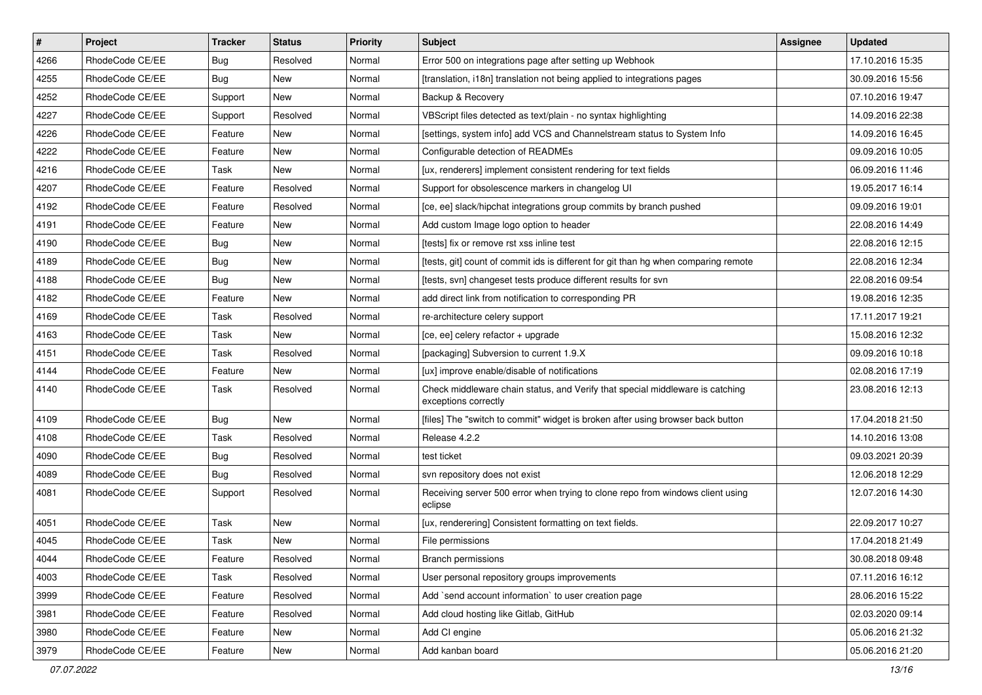| $\sharp$ | Project         | <b>Tracker</b> | <b>Status</b> | Priority | Subject                                                                                               | <b>Assignee</b> | <b>Updated</b>   |
|----------|-----------------|----------------|---------------|----------|-------------------------------------------------------------------------------------------------------|-----------------|------------------|
| 4266     | RhodeCode CE/EE | Bug            | Resolved      | Normal   | Error 500 on integrations page after setting up Webhook                                               |                 | 17.10.2016 15:35 |
| 4255     | RhodeCode CE/EE | Bug            | <b>New</b>    | Normal   | [translation, i18n] translation not being applied to integrations pages                               |                 | 30.09.2016 15:56 |
| 4252     | RhodeCode CE/EE | Support        | <b>New</b>    | Normal   | Backup & Recovery                                                                                     |                 | 07.10.2016 19:47 |
| 4227     | RhodeCode CE/EE | Support        | Resolved      | Normal   | VBScript files detected as text/plain - no syntax highlighting                                        |                 | 14.09.2016 22:38 |
| 4226     | RhodeCode CE/EE | Feature        | <b>New</b>    | Normal   | [settings, system info] add VCS and Channelstream status to System Info                               |                 | 14.09.2016 16:45 |
| 4222     | RhodeCode CE/EE | Feature        | New           | Normal   | Configurable detection of READMEs                                                                     |                 | 09.09.2016 10:05 |
| 4216     | RhodeCode CE/EE | Task           | New           | Normal   | [ux, renderers] implement consistent rendering for text fields                                        |                 | 06.09.2016 11:46 |
| 4207     | RhodeCode CE/EE | Feature        | Resolved      | Normal   | Support for obsolescence markers in changelog UI                                                      |                 | 19.05.2017 16:14 |
| 4192     | RhodeCode CE/EE | Feature        | Resolved      | Normal   | [ce, ee] slack/hipchat integrations group commits by branch pushed                                    |                 | 09.09.2016 19:01 |
| 4191     | RhodeCode CE/EE | Feature        | <b>New</b>    | Normal   | Add custom Image logo option to header                                                                |                 | 22.08.2016 14:49 |
| 4190     | RhodeCode CE/EE | Bug            | New           | Normal   | [tests] fix or remove rst xss inline test                                                             |                 | 22.08.2016 12:15 |
| 4189     | RhodeCode CE/EE | Bug            | New           | Normal   | [tests, git] count of commit ids is different for git than hg when comparing remote                   |                 | 22.08.2016 12:34 |
| 4188     | RhodeCode CE/EE | Bug            | <b>New</b>    | Normal   | [tests, svn] changeset tests produce different results for svn                                        |                 | 22.08.2016 09:54 |
| 4182     | RhodeCode CE/EE | Feature        | <b>New</b>    | Normal   | add direct link from notification to corresponding PR                                                 |                 | 19.08.2016 12:35 |
| 4169     | RhodeCode CE/EE | Task           | Resolved      | Normal   | re-architecture celery support                                                                        |                 | 17.11.2017 19:21 |
| 4163     | RhodeCode CE/EE | Task           | New           | Normal   | [ce, ee] celery refactor + upgrade                                                                    |                 | 15.08.2016 12:32 |
| 4151     | RhodeCode CE/EE | Task           | Resolved      | Normal   | [packaging] Subversion to current 1.9.X                                                               |                 | 09.09.2016 10:18 |
| 4144     | RhodeCode CE/EE | Feature        | <b>New</b>    | Normal   | [ux] improve enable/disable of notifications                                                          |                 | 02.08.2016 17:19 |
| 4140     | RhodeCode CE/EE | Task           | Resolved      | Normal   | Check middleware chain status, and Verify that special middleware is catching<br>exceptions correctly |                 | 23.08.2016 12:13 |
| 4109     | RhodeCode CE/EE | Bug            | New           | Normal   | [files] The "switch to commit" widget is broken after using browser back button                       |                 | 17.04.2018 21:50 |
| 4108     | RhodeCode CE/EE | Task           | Resolved      | Normal   | Release 4.2.2                                                                                         |                 | 14.10.2016 13:08 |
| 4090     | RhodeCode CE/EE | Bug            | Resolved      | Normal   | test ticket                                                                                           |                 | 09.03.2021 20:39 |
| 4089     | RhodeCode CE/EE | Bug            | Resolved      | Normal   | svn repository does not exist                                                                         |                 | 12.06.2018 12:29 |
| 4081     | RhodeCode CE/EE | Support        | Resolved      | Normal   | Receiving server 500 error when trying to clone repo from windows client using<br>eclipse             |                 | 12.07.2016 14:30 |
| 4051     | RhodeCode CE/EE | Task           | <b>New</b>    | Normal   | [ux, renderering] Consistent formatting on text fields.                                               |                 | 22.09.2017 10:27 |
| 4045     | RhodeCode CE/EE | Task           | New           | Normal   | File permissions                                                                                      |                 | 17.04.2018 21:49 |
| 4044     | RhodeCode CE/EE | Feature        | Resolved      | Normal   | Branch permissions                                                                                    |                 | 30.08.2018 09:48 |
| 4003     | RhodeCode CE/EE | Task           | Resolved      | Normal   | User personal repository groups improvements                                                          |                 | 07.11.2016 16:12 |
| 3999     | RhodeCode CE/EE | Feature        | Resolved      | Normal   | Add `send account information` to user creation page                                                  |                 | 28.06.2016 15:22 |
| 3981     | RhodeCode CE/EE | Feature        | Resolved      | Normal   | Add cloud hosting like Gitlab, GitHub                                                                 |                 | 02.03.2020 09:14 |
| 3980     | RhodeCode CE/EE | Feature        | New           | Normal   | Add CI engine                                                                                         |                 | 05.06.2016 21:32 |
| 3979     | RhodeCode CE/EE | Feature        | New           | Normal   | Add kanban board                                                                                      |                 | 05.06.2016 21:20 |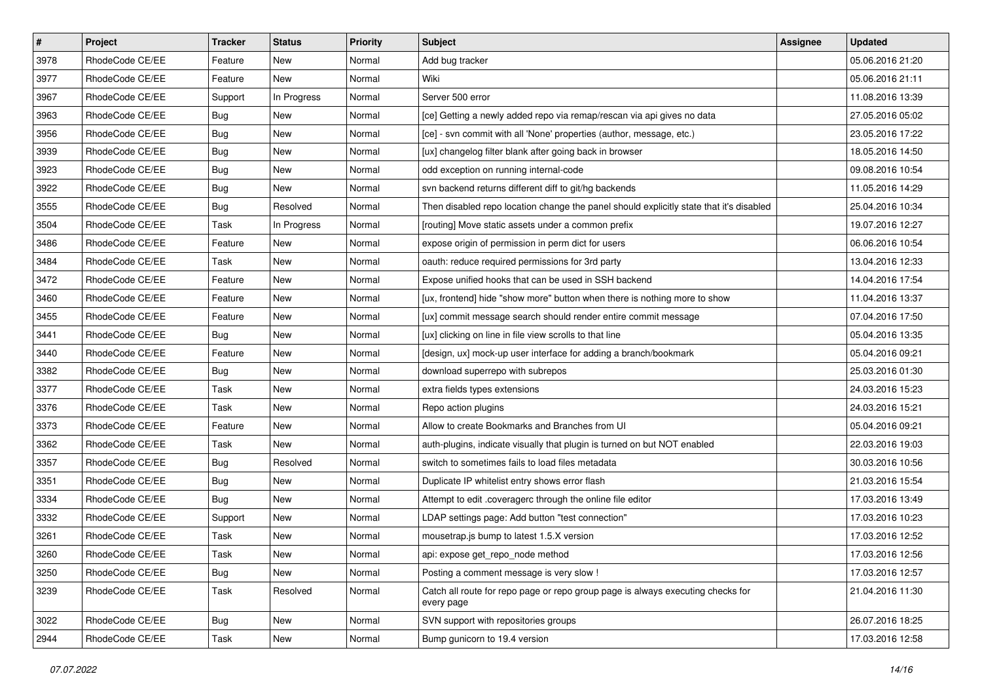| #    | Project         | <b>Tracker</b> | <b>Status</b> | <b>Priority</b> | <b>Subject</b>                                                                                | <b>Assignee</b> | <b>Updated</b>   |
|------|-----------------|----------------|---------------|-----------------|-----------------------------------------------------------------------------------------------|-----------------|------------------|
| 3978 | RhodeCode CE/EE | Feature        | New           | Normal          | Add bug tracker                                                                               |                 | 05.06.2016 21:20 |
| 3977 | RhodeCode CE/EE | Feature        | <b>New</b>    | Normal          | Wiki                                                                                          |                 | 05.06.2016 21:11 |
| 3967 | RhodeCode CE/EE | Support        | In Progress   | Normal          | Server 500 error                                                                              |                 | 11.08.2016 13:39 |
| 3963 | RhodeCode CE/EE | Bug            | New           | Normal          | [ce] Getting a newly added repo via remap/rescan via api gives no data                        |                 | 27.05.2016 05:02 |
| 3956 | RhodeCode CE/EE | Bug            | New           | Normal          | [ce] - svn commit with all 'None' properties (author, message, etc.)                          |                 | 23.05.2016 17:22 |
| 3939 | RhodeCode CE/EE | Bug            | New           | Normal          | [ux] changelog filter blank after going back in browser                                       |                 | 18.05.2016 14:50 |
| 3923 | RhodeCode CE/EE | Bug            | New           | Normal          | odd exception on running internal-code                                                        |                 | 09.08.2016 10:54 |
| 3922 | RhodeCode CE/EE | Bug            | New           | Normal          | svn backend returns different diff to git/hg backends                                         |                 | 11.05.2016 14:29 |
| 3555 | RhodeCode CE/EE | Bug            | Resolved      | Normal          | Then disabled repo location change the panel should explicitly state that it's disabled       |                 | 25.04.2016 10:34 |
| 3504 | RhodeCode CE/EE | Task           | In Progress   | Normal          | [routing] Move static assets under a common prefix                                            |                 | 19.07.2016 12:27 |
| 3486 | RhodeCode CE/EE | Feature        | New           | Normal          | expose origin of permission in perm dict for users                                            |                 | 06.06.2016 10:54 |
| 3484 | RhodeCode CE/EE | Task           | New           | Normal          | oauth: reduce required permissions for 3rd party                                              |                 | 13.04.2016 12:33 |
| 3472 | RhodeCode CE/EE | Feature        | New           | Normal          | Expose unified hooks that can be used in SSH backend                                          |                 | 14.04.2016 17:54 |
| 3460 | RhodeCode CE/EE | Feature        | New           | Normal          | [ux, frontend] hide "show more" button when there is nothing more to show                     |                 | 11.04.2016 13:37 |
| 3455 | RhodeCode CE/EE | Feature        | <b>New</b>    | Normal          | [ux] commit message search should render entire commit message                                |                 | 07.04.2016 17:50 |
| 3441 | RhodeCode CE/EE | <b>Bug</b>     | New           | Normal          | [ux] clicking on line in file view scrolls to that line                                       |                 | 05.04.2016 13:35 |
| 3440 | RhodeCode CE/EE | Feature        | New           | Normal          | [design, ux] mock-up user interface for adding a branch/bookmark                              |                 | 05.04.2016 09:21 |
| 3382 | RhodeCode CE/EE | Bug            | New           | Normal          | download superrepo with subrepos                                                              |                 | 25.03.2016 01:30 |
| 3377 | RhodeCode CE/EE | Task           | New           | Normal          | extra fields types extensions                                                                 |                 | 24.03.2016 15:23 |
| 3376 | RhodeCode CE/EE | Task           | <b>New</b>    | Normal          | Repo action plugins                                                                           |                 | 24.03.2016 15:21 |
| 3373 | RhodeCode CE/EE | Feature        | New           | Normal          | Allow to create Bookmarks and Branches from UI                                                |                 | 05.04.2016 09:21 |
| 3362 | RhodeCode CE/EE | Task           | <b>New</b>    | Normal          | auth-plugins, indicate visually that plugin is turned on but NOT enabled                      |                 | 22.03.2016 19:03 |
| 3357 | RhodeCode CE/EE | Bug            | Resolved      | Normal          | switch to sometimes fails to load files metadata                                              |                 | 30.03.2016 10:56 |
| 3351 | RhodeCode CE/EE | <b>Bug</b>     | New           | Normal          | Duplicate IP whitelist entry shows error flash                                                |                 | 21.03.2016 15:54 |
| 3334 | RhodeCode CE/EE | Bug            | <b>New</b>    | Normal          | Attempt to edit .coveragerc through the online file editor                                    |                 | 17.03.2016 13:49 |
| 3332 | RhodeCode CE/EE | Support        | New           | Normal          | LDAP settings page: Add button "test connection"                                              |                 | 17.03.2016 10:23 |
| 3261 | RhodeCode CE/EE | Task           | New           | Normal          | mousetrap.js bump to latest 1.5.X version                                                     |                 | 17.03.2016 12:52 |
| 3260 | RhodeCode CE/EE | Task           | New           | Normal          | api: expose get_repo_node method                                                              |                 | 17.03.2016 12:56 |
| 3250 | RhodeCode CE/EE | <b>Bug</b>     | New           | Normal          | Posting a comment message is very slow !                                                      |                 | 17.03.2016 12:57 |
| 3239 | RhodeCode CE/EE | Task           | Resolved      | Normal          | Catch all route for repo page or repo group page is always executing checks for<br>every page |                 | 21.04.2016 11:30 |
| 3022 | RhodeCode CE/EE | <b>Bug</b>     | New           | Normal          | SVN support with repositories groups                                                          |                 | 26.07.2016 18:25 |
| 2944 | RhodeCode CE/EE | Task           | New           | Normal          | Bump gunicorn to 19.4 version                                                                 |                 | 17.03.2016 12:58 |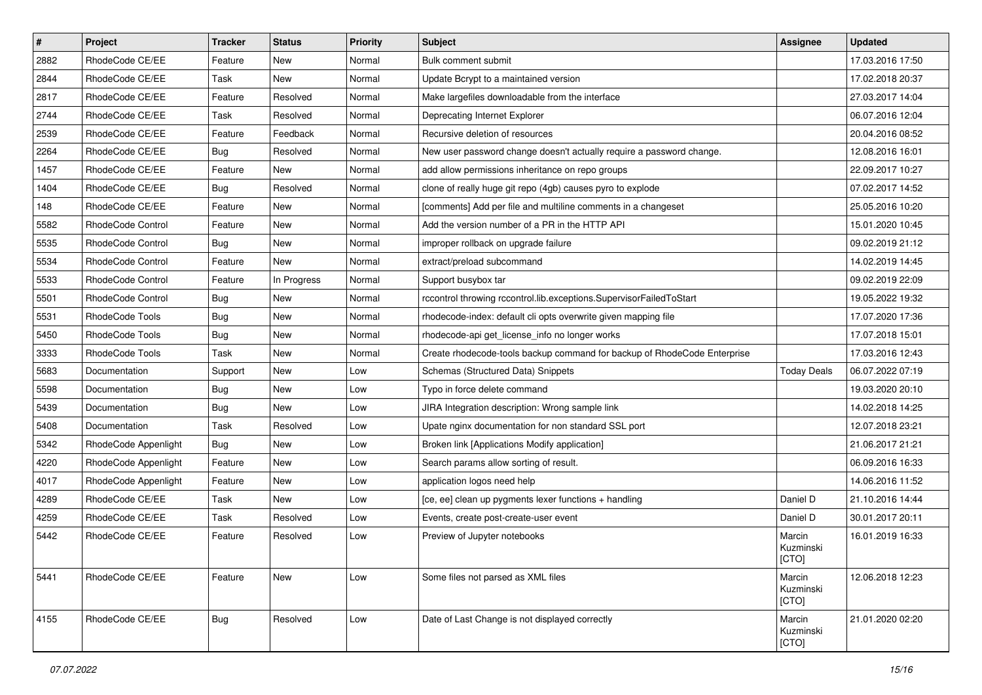| $\vert$ # | Project                  | <b>Tracker</b> | <b>Status</b> | <b>Priority</b> | <b>Subject</b>                                                           | <b>Assignee</b>              | <b>Updated</b>   |
|-----------|--------------------------|----------------|---------------|-----------------|--------------------------------------------------------------------------|------------------------------|------------------|
| 2882      | RhodeCode CE/EE          | Feature        | New           | Normal          | Bulk comment submit                                                      |                              | 17.03.2016 17:50 |
| 2844      | RhodeCode CE/EE          | Task           | <b>New</b>    | Normal          | Update Bcrypt to a maintained version                                    |                              | 17.02.2018 20:37 |
| 2817      | RhodeCode CE/EE          | Feature        | Resolved      | Normal          | Make largefiles downloadable from the interface                          |                              | 27.03.2017 14:04 |
| 2744      | RhodeCode CE/EE          | Task           | Resolved      | Normal          | Deprecating Internet Explorer                                            |                              | 06.07.2016 12:04 |
| 2539      | RhodeCode CE/EE          | Feature        | Feedback      | Normal          | Recursive deletion of resources                                          |                              | 20.04.2016 08:52 |
| 2264      | RhodeCode CE/EE          | Bug            | Resolved      | Normal          | New user password change doesn't actually require a password change.     |                              | 12.08.2016 16:01 |
| 1457      | RhodeCode CE/EE          | Feature        | New           | Normal          | add allow permissions inheritance on repo groups                         |                              | 22.09.2017 10:27 |
| 1404      | RhodeCode CE/EE          | <b>Bug</b>     | Resolved      | Normal          | clone of really huge git repo (4gb) causes pyro to explode               |                              | 07.02.2017 14:52 |
| 148       | RhodeCode CE/EE          | Feature        | New           | Normal          | [comments] Add per file and multiline comments in a changeset            |                              | 25.05.2016 10:20 |
| 5582      | RhodeCode Control        | Feature        | <b>New</b>    | Normal          | Add the version number of a PR in the HTTP API                           |                              | 15.01.2020 10:45 |
| 5535      | <b>RhodeCode Control</b> | Bug            | New           | Normal          | improper rollback on upgrade failure                                     |                              | 09.02.2019 21:12 |
| 5534      | RhodeCode Control        | Feature        | <b>New</b>    | Normal          | extract/preload subcommand                                               |                              | 14.02.2019 14:45 |
| 5533      | RhodeCode Control        | Feature        | In Progress   | Normal          | Support busybox tar                                                      |                              | 09.02.2019 22:09 |
| 5501      | RhodeCode Control        | Bug            | New           | Normal          | rccontrol throwing rccontrol.lib.exceptions.SupervisorFailedToStart      |                              | 19.05.2022 19:32 |
| 5531      | RhodeCode Tools          | Bug            | <b>New</b>    | Normal          | rhodecode-index: default cli opts overwrite given mapping file           |                              | 17.07.2020 17:36 |
| 5450      | RhodeCode Tools          | Bug            | New           | Normal          | rhodecode-api get license info no longer works                           |                              | 17.07.2018 15:01 |
| 3333      | RhodeCode Tools          | Task           | New           | Normal          | Create rhodecode-tools backup command for backup of RhodeCode Enterprise |                              | 17.03.2016 12:43 |
| 5683      | Documentation            | Support        | New           | Low             | Schemas (Structured Data) Snippets                                       | <b>Today Deals</b>           | 06.07.2022 07:19 |
| 5598      | Documentation            | Bug            | New           | Low             | Typo in force delete command                                             |                              | 19.03.2020 20:10 |
| 5439      | Documentation            | Bug            | <b>New</b>    | Low             | JIRA Integration description: Wrong sample link                          |                              | 14.02.2018 14:25 |
| 5408      | Documentation            | Task           | Resolved      | Low             | Upate nginx documentation for non standard SSL port                      |                              | 12.07.2018 23:21 |
| 5342      | RhodeCode Appenlight     | <b>Bug</b>     | <b>New</b>    | Low             | Broken link [Applications Modify application]                            |                              | 21.06.2017 21:21 |
| 4220      | RhodeCode Appenlight     | Feature        | <b>New</b>    | Low             | Search params allow sorting of result.                                   |                              | 06.09.2016 16:33 |
| 4017      | RhodeCode Appenlight     | Feature        | New           | Low             | application logos need help                                              |                              | 14.06.2016 11:52 |
| 4289      | RhodeCode CE/EE          | Task           | New           | Low             | [ce, ee] clean up pygments lexer functions + handling                    | Daniel D                     | 21.10.2016 14:44 |
| 4259      | RhodeCode CE/EE          | Task           | Resolved      | Low             | Events, create post-create-user event                                    | Daniel D                     | 30.01.2017 20:11 |
| 5442      | RhodeCode CE/EE          | Feature        | Resolved      | Low             | Preview of Jupyter notebooks                                             | Marcin<br>Kuzminski<br>[CTO] | 16.01.2019 16:33 |
| 5441      | RhodeCode CE/EE          | Feature        | <b>New</b>    | Low             | Some files not parsed as XML files                                       | Marcin<br>Kuzminski<br>[CTO] | 12.06.2018 12:23 |
| 4155      | RhodeCode CE/EE          | Bug            | Resolved      | Low             | Date of Last Change is not displayed correctly                           | Marcin<br>Kuzminski<br>[CTO] | 21.01.2020 02:20 |